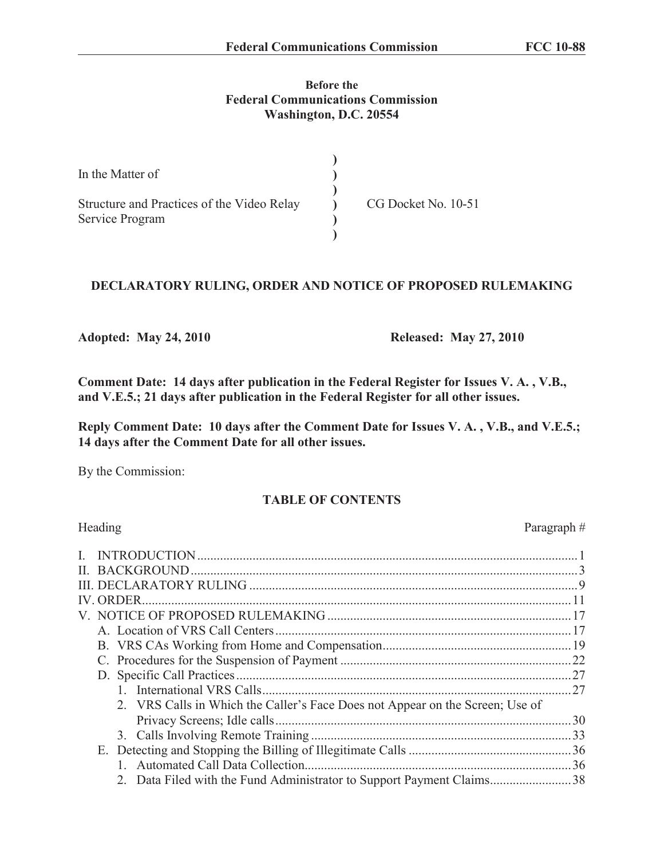## **Before the Federal Communications Commission Washington, D.C. 20554**

| In the Matter of                                              |                     |
|---------------------------------------------------------------|---------------------|
| Structure and Practices of the Video Relay<br>Service Program | CG Docket No. 10-51 |
|                                                               |                     |

# **DECLARATORY RULING, ORDER AND NOTICE OF PROPOSED RULEMAKING**

**Adopted: May 24, 2010 Released: May 27, 2010**

**Comment Date: 14 days after publication in the Federal Register for Issues V. A. , V.B., and V.E.5.; 21 days after publication in the Federal Register for all other issues.** 

**Reply Comment Date: 10 days after the Comment Date for Issues V. A. , V.B., and V.E.5.; 14 days after the Comment Date for all other issues.**

By the Commission:

# **TABLE OF CONTENTS**

| Heading                                                                       | Paragraph# |
|-------------------------------------------------------------------------------|------------|
|                                                                               |            |
|                                                                               |            |
|                                                                               |            |
|                                                                               |            |
|                                                                               |            |
|                                                                               |            |
|                                                                               |            |
|                                                                               |            |
|                                                                               |            |
|                                                                               |            |
| 2. VRS Calls in Which the Caller's Face Does not Appear on the Screen; Use of |            |
|                                                                               | .30        |
|                                                                               |            |
|                                                                               |            |
|                                                                               |            |
| 2. Data Filed with the Fund Administrator to Support Payment Claims38         |            |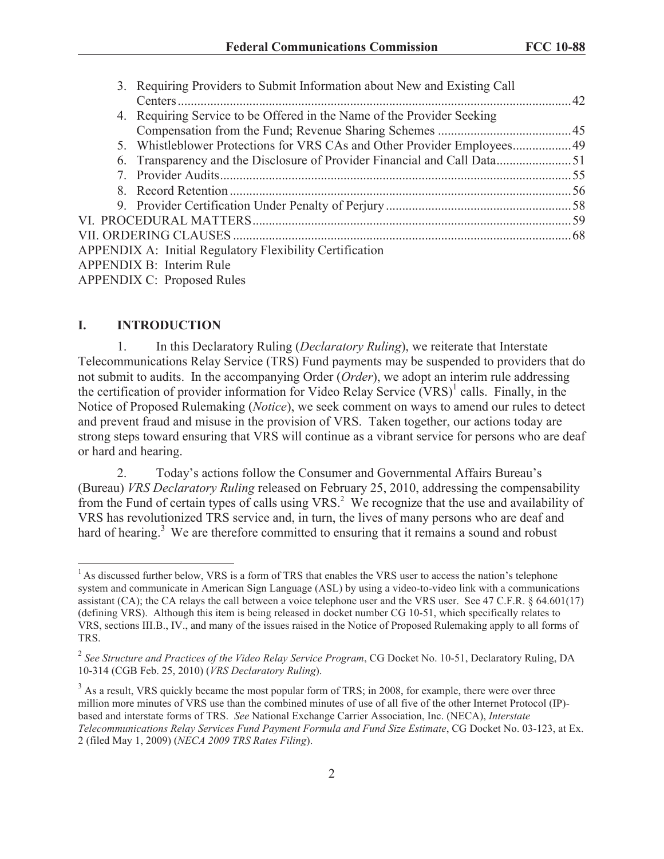| 3. Requiring Providers to Submit Information about New and Existing Call |  |
|--------------------------------------------------------------------------|--|
|                                                                          |  |
| 4. Requiring Service to be Offered in the Name of the Provider Seeking   |  |
|                                                                          |  |
| 5. Whistleblower Protections for VRS CAs and Other Provider Employees 49 |  |
|                                                                          |  |
|                                                                          |  |
|                                                                          |  |
|                                                                          |  |
|                                                                          |  |
|                                                                          |  |
| <b>APPENDIX A: Initial Regulatory Flexibility Certification</b>          |  |
| <b>APPENDIX B: Interim Rule</b>                                          |  |
| <b>APPENDIX C: Proposed Rules</b>                                        |  |

#### **I. INTRODUCTION**

1. In this Declaratory Ruling (*Declaratory Ruling*), we reiterate that Interstate Telecommunications Relay Service (TRS) Fund payments may be suspended to providers that do not submit to audits. In the accompanying Order (*Order*), we adopt an interim rule addressing the certification of provider information for Video Relay Service (VRS)<sup>1</sup> calls. Finally, in the Notice of Proposed Rulemaking (*Notice*), we seek comment on ways to amend our rules to detect and prevent fraud and misuse in the provision of VRS. Taken together, our actions today are strong steps toward ensuring that VRS will continue as a vibrant service for persons who are deaf or hard and hearing.

2. Today's actions follow the Consumer and Governmental Affairs Bureau's (Bureau) *VRS Declaratory Ruling* released on February 25, 2010, addressing the compensability from the Fund of certain types of calls using VRS.<sup>2</sup> We recognize that the use and availability of VRS has revolutionized TRS service and, in turn, the lives of many persons who are deaf and hard of hearing.<sup>3</sup> We are therefore committed to ensuring that it remains a sound and robust

<sup>&</sup>lt;sup>1</sup> As discussed further below, VRS is a form of TRS that enables the VRS user to access the nation's telephone system and communicate in American Sign Language (ASL) by using a video-to-video link with a communications assistant (CA); the CA relays the call between a voice telephone user and the VRS user. See 47 C.F.R.  $\S$  64.601(17) (defining VRS). Although this item is being released in docket number CG 10-51, which specifically relates to VRS, sections III.B., IV., and many of the issues raised in the Notice of Proposed Rulemaking apply to all forms of TRS.

<sup>2</sup> *See Structure and Practices of the Video Relay Service Program*, CG Docket No. 10-51, Declaratory Ruling, DA 10-314 (CGB Feb. 25, 2010) (*VRS Declaratory Ruling*).

 $3$  As a result, VRS quickly became the most popular form of TRS; in 2008, for example, there were over three million more minutes of VRS use than the combined minutes of use of all five of the other Internet Protocol (IP) based and interstate forms of TRS. *See* National Exchange Carrier Association, Inc. (NECA), *Interstate Telecommunications Relay Services Fund Payment Formula and Fund Size Estimate*, CG Docket No. 03-123, at Ex. 2 (filed May 1, 2009) (*NECA 2009 TRS Rates Filing*).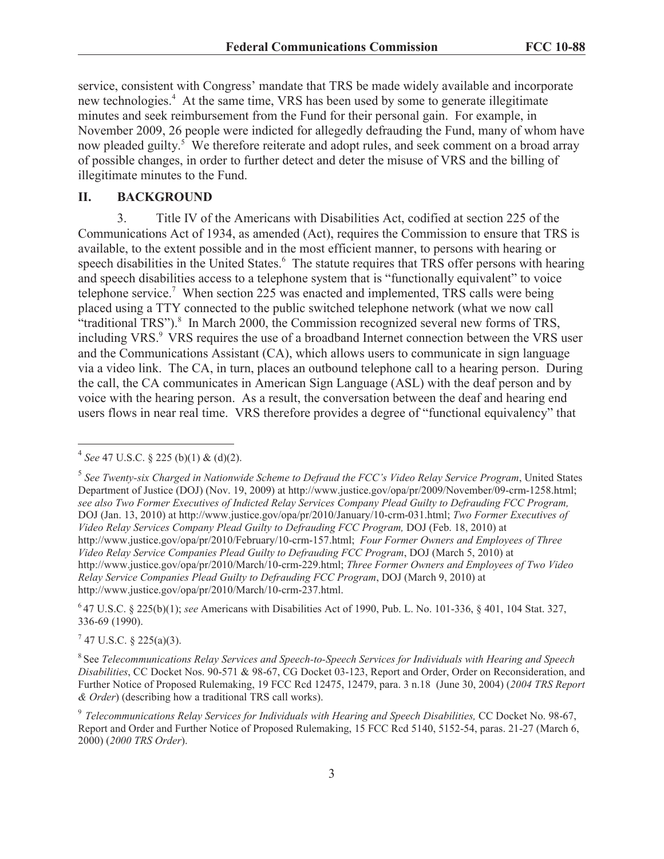service, consistent with Congress' mandate that TRS be made widely available and incorporate new technologies.<sup>4</sup> At the same time, VRS has been used by some to generate illegitimate minutes and seek reimbursement from the Fund for their personal gain. For example, in November 2009, 26 people were indicted for allegedly defrauding the Fund, many of whom have now pleaded guilty.<sup>5</sup> We therefore reiterate and adopt rules, and seek comment on a broad array of possible changes, in order to further detect and deter the misuse of VRS and the billing of illegitimate minutes to the Fund.

### **II. BACKGROUND**

3. Title IV of the Americans with Disabilities Act, codified at section 225 of the Communications Act of 1934, as amended (Act), requires the Commission to ensure that TRS is available, to the extent possible and in the most efficient manner, to persons with hearing or speech disabilities in the United States.<sup>6</sup> The statute requires that TRS offer persons with hearing and speech disabilities access to a telephone system that is "functionally equivalent" to voice telephone service.<sup>7</sup> When section 225 was enacted and implemented, TRS calls were being placed using a TTY connected to the public switched telephone network (what we now call "traditional  $TRS$ "). $8$  In March 2000, the Commission recognized several new forms of TRS, including VRS.<sup>9</sup> VRS requires the use of a broadband Internet connection between the VRS user and the Communications Assistant (CA), which allows users to communicate in sign language via a video link. The CA, in turn, places an outbound telephone call to a hearing person. During the call, the CA communicates in American Sign Language (ASL) with the deaf person and by voice with the hearing person. As a result, the conversation between the deaf and hearing end users flows in near real time. VRS therefore provides a degree of "functional equivalency" that

6 47 U.S.C. § 225(b)(1); *see* Americans with Disabilities Act of 1990, Pub. L. No. 101-336, § 401, 104 Stat. 327, 336-69 (1990).

 $7$  47 U.S.C. § 225(a)(3).

8 See *Telecommunications Relay Services and Speech-to-Speech Services for Individuals with Hearing and Speech Disabilities*, CC Docket Nos. 90-571 & 98-67, CG Docket 03-123, Report and Order, Order on Reconsideration, and Further Notice of Proposed Rulemaking, 19 FCC Rcd 12475, 12479, para. 3 n.18 (June 30, 2004) (*2004 TRS Report & Order*) (describing how a traditional TRS call works).

<sup>4</sup> *See* 47 U.S.C. § 225 (b)(1) & (d)(2).

<sup>5</sup> *See Twenty-six Charged in Nationwide Scheme to Defraud the FCC's Video Relay Service Program*, United States Department of Justice (DOJ) (Nov. 19, 2009) at http://www.justice.gov/opa/pr/2009/November/09-crm-1258.html; *see also Two Former Executives of Indicted Relay Services Company Plead Guilty to Defrauding FCC Program,* DOJ (Jan. 13, 2010) at http://www.justice.gov/opa/pr/2010/January/10-crm-031.html; *Two Former Executives of Video Relay Services Company Plead Guilty to Defrauding FCC Program,* DOJ (Feb. 18, 2010) at http://www.justice.gov/opa/pr/2010/February/10-crm-157.html; *Four Former Owners and Employees of Three Video Relay Service Companies Plead Guilty to Defrauding FCC Program*, DOJ (March 5, 2010) at http://www.justice.gov/opa/pr/2010/March/10-crm-229.html; *Three Former Owners and Employees of Two Video Relay Service Companies Plead Guilty to Defrauding FCC Program*, DOJ (March 9, 2010) at http://www.justice.gov/opa/pr/2010/March/10-crm-237.html.

<sup>&</sup>lt;sup>9</sup> Telecommunications Relay Services for Individuals with Hearing and Speech Disabilities, CC Docket No. 98-67, Report and Order and Further Notice of Proposed Rulemaking, 15 FCC Rcd 5140, 5152-54, paras. 21-27 (March 6, 2000) (*2000 TRS Order*).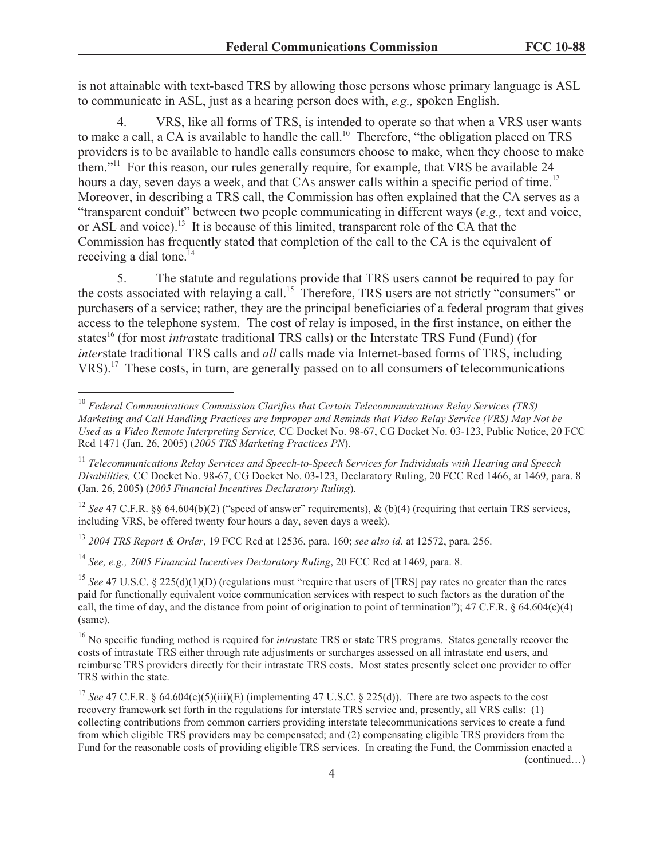is not attainable with text-based TRS by allowing those persons whose primary language is ASL to communicate in ASL, just as a hearing person does with, *e.g.,* spoken English.

4. VRS, like all forms of TRS, is intended to operate so that when a VRS user wants to make a call, a CA is available to handle the call.<sup>10</sup> Therefore, "the obligation placed on TRS providers is to be available to handle calls consumers choose to make, when they choose to make them."<sup>11</sup> For this reason, our rules generally require, for example, that VRS be available 24 hours a day, seven days a week, and that CAs answer calls within a specific period of time.<sup>12</sup> Moreover, in describing a TRS call, the Commission has often explained that the CA serves as a "transparent conduit" between two people communicating in different ways (*e.g.,* text and voice, or ASL and voice).<sup>13</sup> It is because of this limited, transparent role of the CA that the Commission has frequently stated that completion of the call to the CA is the equivalent of receiving a dial tone. $14$ 

5. The statute and regulations provide that TRS users cannot be required to pay for the costs associated with relaying a call.<sup>15</sup> Therefore, TRS users are not strictly "consumers" or purchasers of a service; rather, they are the principal beneficiaries of a federal program that gives access to the telephone system. The cost of relay is imposed, in the first instance, on either the states<sup>16</sup> (for most *intrastate traditional TRS calls)* or the Interstate TRS Fund (Fund) (for *inter*state traditional TRS calls and *all* calls made via Internet-based forms of TRS, including VRS).<sup>17</sup> These costs, in turn, are generally passed on to all consumers of telecommunications

<sup>12</sup> *See* 47 C.F.R. §§ 64.604(b)(2) ("speed of answer" requirements), & (b)(4) (requiring that certain TRS services, including VRS, be offered twenty four hours a day, seven days a week).

<sup>13</sup> *2004 TRS Report & Order*, 19 FCC Rcd at 12536, para. 160; *see also id.* at 12572, para. 256.

<sup>14</sup> *See, e.g., 2005 Financial Incentives Declaratory Ruling*, 20 FCC Rcd at 1469, para. 8.

<sup>15</sup> *See* 47 U.S.C. § 225(d)(1)(D) (regulations must "require that users of [TRS] pay rates no greater than the rates paid for functionally equivalent voice communication services with respect to such factors as the duration of the call, the time of day, and the distance from point of origination to point of termination"); 47 C.F.R. § 64.604 $(c)(4)$ (same).

<sup>16</sup> No specific funding method is required for *intrastate* TRS or state TRS programs. States generally recover the costs of intrastate TRS either through rate adjustments or surcharges assessed on all intrastate end users, and reimburse TRS providers directly for their intrastate TRS costs. Most states presently select one provider to offer TRS within the state.

<sup>17</sup> *See* 47 C.F.R. § 64.604(c)(5)(iii)(E) (implementing 47 U.S.C. § 225(d)). There are two aspects to the cost recovery framework set forth in the regulations for interstate TRS service and, presently, all VRS calls: (1) collecting contributions from common carriers providing interstate telecommunications services to create a fund from which eligible TRS providers may be compensated; and (2) compensating eligible TRS providers from the Fund for the reasonable costs of providing eligible TRS services. In creating the Fund, the Commission enacted a (continued…)

4

<sup>10</sup> *Federal Communications Commission Clarifies that Certain Telecommunications Relay Services (TRS) Marketing and Call Handling Practices are Improper and Reminds that Video Relay Service (VRS) May Not be Used as a Video Remote Interpreting Service,* CC Docket No. 98-67, CG Docket No. 03-123, Public Notice, 20 FCC Rcd 1471 (Jan. 26, 2005) (*2005 TRS Marketing Practices PN*).

<sup>11</sup> *Telecommunications Relay Services and Speech-to-Speech Services for Individuals with Hearing and Speech Disabilities,* CC Docket No. 98-67, CG Docket No. 03-123, Declaratory Ruling, 20 FCC Rcd 1466, at 1469, para. 8 (Jan. 26, 2005) (*2005 Financial Incentives Declaratory Ruling*).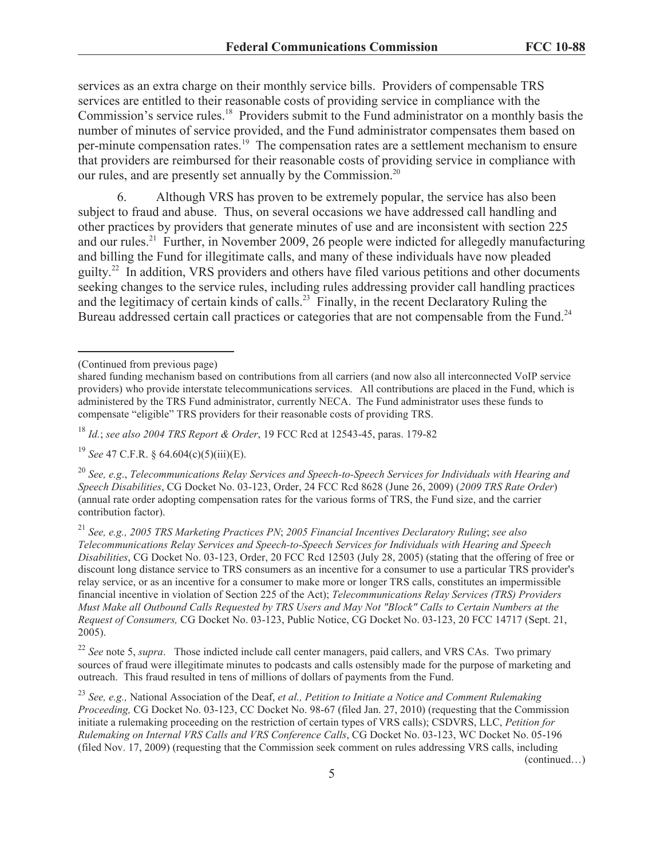services as an extra charge on their monthly service bills. Providers of compensable TRS services are entitled to their reasonable costs of providing service in compliance with the Commission's service rules.<sup>18</sup> Providers submit to the Fund administrator on a monthly basis the number of minutes of service provided, and the Fund administrator compensates them based on per-minute compensation rates.<sup>19</sup> The compensation rates are a settlement mechanism to ensure that providers are reimbursed for their reasonable costs of providing service in compliance with our rules, and are presently set annually by the Commission.<sup>20</sup>

6. Although VRS has proven to be extremely popular, the service has also been subject to fraud and abuse. Thus, on several occasions we have addressed call handling and other practices by providers that generate minutes of use and are inconsistent with section 225 and our rules.<sup>21</sup> Further, in November 2009, 26 people were indicted for allegedly manufacturing and billing the Fund for illegitimate calls, and many of these individuals have now pleaded guilty.<sup>22</sup> In addition, VRS providers and others have filed various petitions and other documents seeking changes to the service rules, including rules addressing provider call handling practices and the legitimacy of certain kinds of calls.<sup>23</sup> Finally, in the recent Declaratory Ruling the Bureau addressed certain call practices or categories that are not compensable from the Fund.<sup>24</sup>

<sup>18</sup> *Id.*; *see also 2004 TRS Report & Order*, 19 FCC Rcd at 12543-45, paras. 179-82

<sup>19</sup> *See* 47 C.F.R. § 64.604(c)(5)(iii)(E).

<sup>20</sup> *See, e.g*., *Telecommunications Relay Services and Speech-to-Speech Services for Individuals with Hearing and Speech Disabilities*, CG Docket No. 03-123, Order, 24 FCC Rcd 8628 (June 26, 2009) (*2009 TRS Rate Order*) (annual rate order adopting compensation rates for the various forms of TRS, the Fund size, and the carrier contribution factor).

<sup>21</sup> *See, e.g., 2005 TRS Marketing Practices PN*; *2005 Financial Incentives Declaratory Ruling*; *see also Telecommunications Relay Services and Speech-to-Speech Services for Individuals with Hearing and Speech Disabilities*, CG Docket No. 03-123, Order, 20 FCC Rcd 12503 (July 28, 2005) (stating that the offering of free or discount long distance service to TRS consumers as an incentive for a consumer to use a particular TRS provider's relay service, or as an incentive for a consumer to make more or longer TRS calls, constitutes an impermissible financial incentive in violation of Section 225 of the Act); *Telecommunications Relay Services (TRS) Providers Must Make all Outbound Calls Requested by TRS Users and May Not "Block" Calls to Certain Numbers at the Request of Consumers,* CG Docket No. 03-123, Public Notice, CG Docket No. 03-123, 20 FCC 14717 (Sept. 21, 2005).

<sup>22</sup> *See* note 5, *supra*. Those indicted include call center managers, paid callers, and VRS CAs. Two primary sources of fraud were illegitimate minutes to podcasts and calls ostensibly made for the purpose of marketing and outreach. This fraud resulted in tens of millions of dollars of payments from the Fund.

<sup>23</sup> *See, e.g.,* National Association of the Deaf, *et al., Petition to Initiate a Notice and Comment Rulemaking Proceeding,* CG Docket No. 03-123, CC Docket No. 98-67 (filed Jan. 27, 2010) (requesting that the Commission initiate a rulemaking proceeding on the restriction of certain types of VRS calls); CSDVRS, LLC, *Petition for Rulemaking on Internal VRS Calls and VRS Conference Calls*, CG Docket No. 03-123, WC Docket No. 05-196 (filed Nov. 17, 2009) (requesting that the Commission seek comment on rules addressing VRS calls, including (continued…)

5

<sup>(</sup>Continued from previous page)

shared funding mechanism based on contributions from all carriers (and now also all interconnected VoIP service providers) who provide interstate telecommunications services. All contributions are placed in the Fund, which is administered by the TRS Fund administrator, currently NECA. The Fund administrator uses these funds to compensate "eligible" TRS providers for their reasonable costs of providing TRS.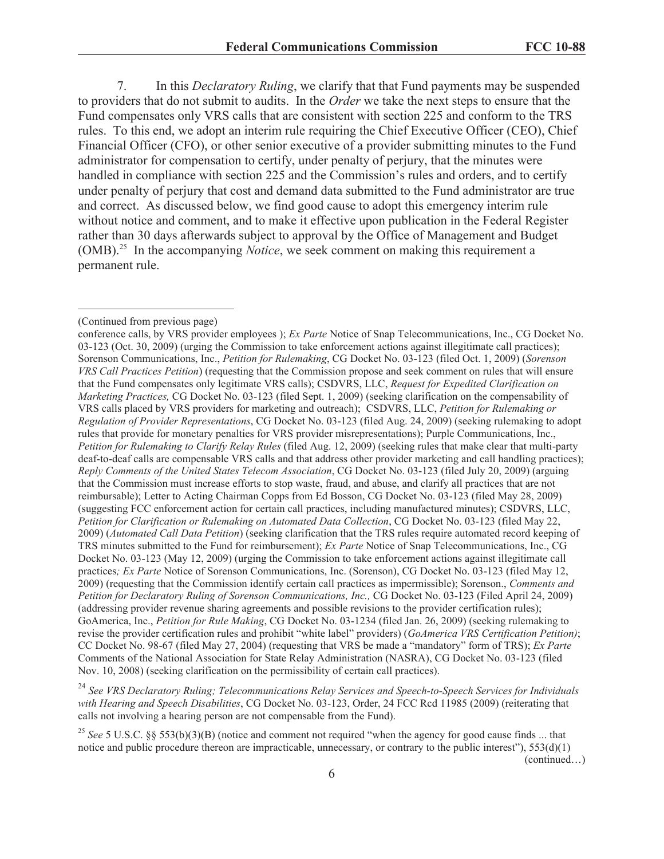7. In this *Declaratory Ruling*, we clarify that that Fund payments may be suspended to providers that do not submit to audits. In the *Order* we take the next steps to ensure that the Fund compensates only VRS calls that are consistent with section 225 and conform to the TRS rules. To this end, we adopt an interim rule requiring the Chief Executive Officer (CEO), Chief Financial Officer (CFO), or other senior executive of a provider submitting minutes to the Fund administrator for compensation to certify, under penalty of perjury, that the minutes were handled in compliance with section 225 and the Commission's rules and orders, and to certify under penalty of perjury that cost and demand data submitted to the Fund administrator are true and correct. As discussed below, we find good cause to adopt this emergency interim rule without notice and comment, and to make it effective upon publication in the Federal Register rather than 30 days afterwards subject to approval by the Office of Management and Budget (OMB).<sup>25</sup> In the accompanying *Notice*, we seek comment on making this requirement a permanent rule.

<sup>24</sup> *See VRS Declaratory Ruling; Telecommunications Relay Services and Speech-to-Speech Services for Individuals with Hearing and Speech Disabilities*, CG Docket No. 03-123, Order, 24 FCC Rcd 11985 (2009) (reiterating that calls not involving a hearing person are not compensable from the Fund).

<sup>25</sup> See 5 U.S.C. §§ 553(b)(3)(B) (notice and comment not required "when the agency for good cause finds ... that notice and public procedure thereon are impracticable, unnecessary, or contrary to the public interest"),  $553(d)(1)$ (continued…)

<sup>(</sup>Continued from previous page)

conference calls, by VRS provider employees ); *Ex Parte* Notice of Snap Telecommunications, Inc., CG Docket No. 03-123 (Oct. 30, 2009) (urging the Commission to take enforcement actions against illegitimate call practices); Sorenson Communications, Inc., *Petition for Rulemaking*, CG Docket No. 03-123 (filed Oct. 1, 2009) (*Sorenson VRS Call Practices Petition*) (requesting that the Commission propose and seek comment on rules that will ensure that the Fund compensates only legitimate VRS calls); CSDVRS, LLC, *Request for Expedited Clarification on Marketing Practices,* CG Docket No. 03-123 (filed Sept. 1, 2009) (seeking clarification on the compensability of VRS calls placed by VRS providers for marketing and outreach); CSDVRS, LLC, *Petition for Rulemaking or Regulation of Provider Representations*, CG Docket No. 03-123 (filed Aug. 24, 2009) (seeking rulemaking to adopt rules that provide for monetary penalties for VRS provider misrepresentations); Purple Communications, Inc., *Petition for Rulemaking to Clarify Relay Rules* (filed Aug. 12, 2009) (seeking rules that make clear that multi-party deaf-to-deaf calls are compensable VRS calls and that address other provider marketing and call handling practices); *Reply Comments of the United States Telecom Association*, CG Docket No. 03-123 (filed July 20, 2009) (arguing that the Commission must increase efforts to stop waste, fraud, and abuse, and clarify all practices that are not reimbursable); Letter to Acting Chairman Copps from Ed Bosson, CG Docket No. 03-123 (filed May 28, 2009) (suggesting FCC enforcement action for certain call practices, including manufactured minutes); CSDVRS, LLC, *Petition for Clarification or Rulemaking on Automated Data Collection*, CG Docket No. 03-123 (filed May 22, 2009) (*Automated Call Data Petition*) (seeking clarification that the TRS rules require automated record keeping of TRS minutes submitted to the Fund for reimbursement); *Ex Parte* Notice of Snap Telecommunications, Inc., CG Docket No. 03-123 (May 12, 2009) (urging the Commission to take enforcement actions against illegitimate call practices*; Ex Parte* Notice of Sorenson Communications, Inc. (Sorenson), CG Docket No. 03-123 (filed May 12, 2009) (requesting that the Commission identify certain call practices as impermissible); Sorenson., *Comments and Petition for Declaratory Ruling of Sorenson Communications, Inc.,* CG Docket No. 03-123 (Filed April 24, 2009) (addressing provider revenue sharing agreements and possible revisions to the provider certification rules); GoAmerica, Inc., *Petition for Rule Making*, CG Docket No. 03-1234 (filed Jan. 26, 2009) (seeking rulemaking to revise the provider certification rules and prohibit "white label" providers) (*GoAmerica VRS Certification Petition)*; CC Docket No. 98-67 (filed May 27, 2004) (requesting that VRS be made a "mandatory" form of TRS); *Ex Parte*  Comments of the National Association for State Relay Administration (NASRA), CG Docket No. 03-123 (filed Nov. 10, 2008) (seeking clarification on the permissibility of certain call practices).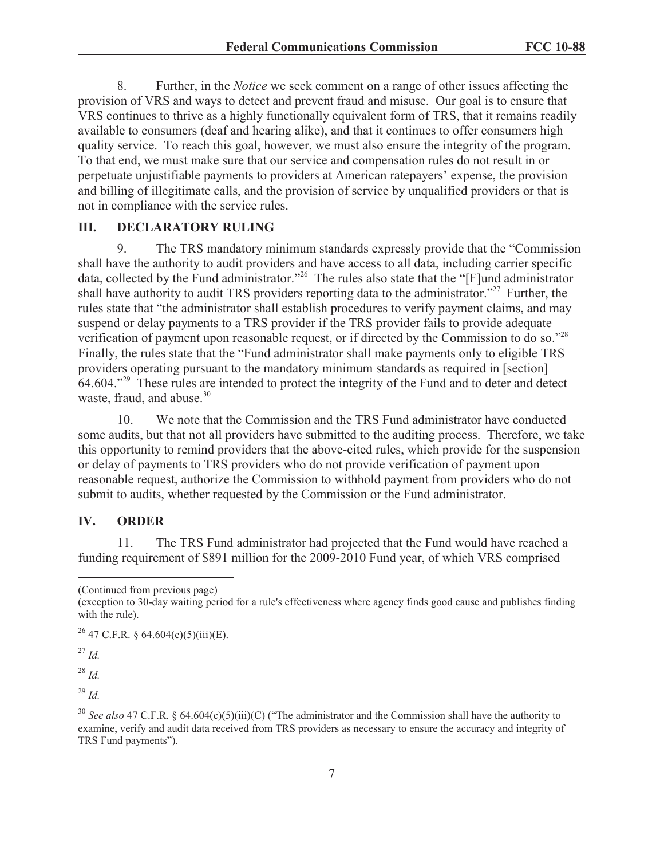8. Further, in the *Notice* we seek comment on a range of other issues affecting the provision of VRS and ways to detect and prevent fraud and misuse. Our goal is to ensure that VRS continues to thrive as a highly functionally equivalent form of TRS, that it remains readily available to consumers (deaf and hearing alike), and that it continues to offer consumers high quality service. To reach this goal, however, we must also ensure the integrity of the program. To that end, we must make sure that our service and compensation rules do not result in or perpetuate unjustifiable payments to providers at American ratepayers' expense, the provision and billing of illegitimate calls, and the provision of service by unqualified providers or that is not in compliance with the service rules.

## **III. DECLARATORY RULING**

9. The TRS mandatory minimum standards expressly provide that the "Commission shall have the authority to audit providers and have access to all data, including carrier specific data, collected by the Fund administrator."<sup>26</sup> The rules also state that the "[F]und administrator shall have authority to audit TRS providers reporting data to the administrator."<sup>27</sup> Further, the rules state that "the administrator shall establish procedures to verify payment claims, and may suspend or delay payments to a TRS provider if the TRS provider fails to provide adequate verification of payment upon reasonable request, or if directed by the Commission to do so."<sup>28</sup> Finally, the rules state that the "Fund administrator shall make payments only to eligible TRS providers operating pursuant to the mandatory minimum standards as required in [section] 64.604."<sup>29</sup> These rules are intended to protect the integrity of the Fund and to deter and detect waste, fraud, and abuse.<sup>30</sup>

10. We note that the Commission and the TRS Fund administrator have conducted some audits, but that not all providers have submitted to the auditing process. Therefore, we take this opportunity to remind providers that the above-cited rules, which provide for the suspension or delay of payments to TRS providers who do not provide verification of payment upon reasonable request, authorize the Commission to withhold payment from providers who do not submit to audits, whether requested by the Commission or the Fund administrator.

#### **IV. ORDER**

11. The TRS Fund administrator had projected that the Fund would have reached a funding requirement of \$891 million for the 2009-2010 Fund year, of which VRS comprised

 $^{27}$  *Id.* 

<sup>28</sup> *Id.*

<sup>29</sup> *Id.*

<sup>(</sup>Continued from previous page)

<sup>(</sup>exception to 30-day waiting period for a rule's effectiveness where agency finds good cause and publishes finding with the rule).

<sup>&</sup>lt;sup>26</sup> 47 C.F.R. § 64.604(c)(5)(iii)(E).

<sup>&</sup>lt;sup>30</sup> *See also* 47 C.F.R. § 64.604(c)(5)(iii)(C) ("The administrator and the Commission shall have the authority to examine, verify and audit data received from TRS providers as necessary to ensure the accuracy and integrity of TRS Fund payments").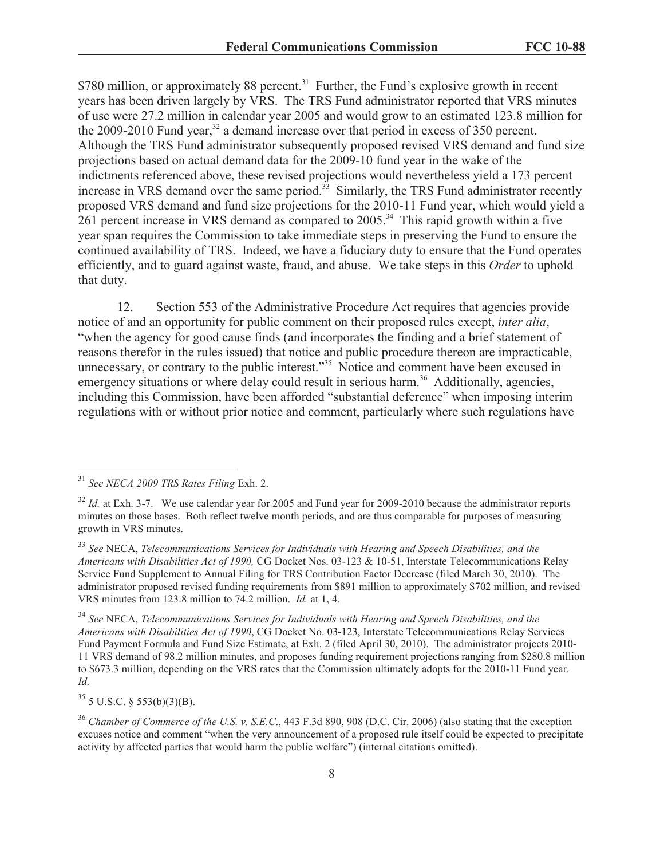\$780 million, or approximately 88 percent.<sup>31</sup> Further, the Fund's explosive growth in recent years has been driven largely by VRS. The TRS Fund administrator reported that VRS minutes of use were 27.2 million in calendar year 2005 and would grow to an estimated 123.8 million for the 2009-2010 Fund year,  $32$  a demand increase over that period in excess of 350 percent. Although the TRS Fund administrator subsequently proposed revised VRS demand and fund size projections based on actual demand data for the 2009-10 fund year in the wake of the indictments referenced above, these revised projections would nevertheless yield a 173 percent increase in VRS demand over the same period. $33$  Similarly, the TRS Fund administrator recently proposed VRS demand and fund size projections for the 2010-11 Fund year, which would yield a 261 percent increase in VRS demand as compared to 2005.<sup>34</sup> This rapid growth within a five year span requires the Commission to take immediate steps in preserving the Fund to ensure the continued availability of TRS. Indeed, we have a fiduciary duty to ensure that the Fund operates efficiently, and to guard against waste, fraud, and abuse. We take steps in this *Order* to uphold that duty.

12. Section 553 of the Administrative Procedure Act requires that agencies provide notice of and an opportunity for public comment on their proposed rules except, *inter alia*, "when the agency for good cause finds (and incorporates the finding and a brief statement of reasons therefor in the rules issued) that notice and public procedure thereon are impracticable, unnecessary, or contrary to the public interest."<sup>35</sup> Notice and comment have been excused in emergency situations or where delay could result in serious harm.<sup>36</sup> Additionally, agencies, including this Commission, have been afforded "substantial deference" when imposing interim regulations with or without prior notice and comment, particularly where such regulations have

<sup>34</sup> *See* NECA, *Telecommunications Services for Individuals with Hearing and Speech Disabilities, and the Americans with Disabilities Act of 1990*, CG Docket No. 03-123, Interstate Telecommunications Relay Services Fund Payment Formula and Fund Size Estimate, at Exh. 2 (filed April 30, 2010). The administrator projects 2010- 11 VRS demand of 98.2 million minutes, and proposes funding requirement projections ranging from \$280.8 million to \$673.3 million, depending on the VRS rates that the Commission ultimately adopts for the 2010-11 Fund year. *Id.*

 $35$  5 U.S.C. § 553(b)(3)(B).

<sup>36</sup> *Chamber of Commerce of the U.S. v. S.E.C*., 443 F.3d 890, 908 (D.C. Cir. 2006) (also stating that the exception excuses notice and comment "when the very announcement of a proposed rule itself could be expected to precipitate activity by affected parties that would harm the public welfare") (internal citations omitted).

<sup>31</sup> *See NECA 2009 TRS Rates Filing* Exh. 2.

<sup>&</sup>lt;sup>32</sup> *Id.* at Exh. 3-7. We use calendar year for 2005 and Fund year for 2009-2010 because the administrator reports minutes on those bases. Both reflect twelve month periods, and are thus comparable for purposes of measuring growth in VRS minutes.

<sup>33</sup> *See* NECA, *Telecommunications Services for Individuals with Hearing and Speech Disabilities, and the Americans with Disabilities Act of 1990,* CG Docket Nos. 03-123 & 10-51, Interstate Telecommunications Relay Service Fund Supplement to Annual Filing for TRS Contribution Factor Decrease (filed March 30, 2010). The administrator proposed revised funding requirements from \$891 million to approximately \$702 million, and revised VRS minutes from 123.8 million to 74.2 million. *Id.* at 1, 4.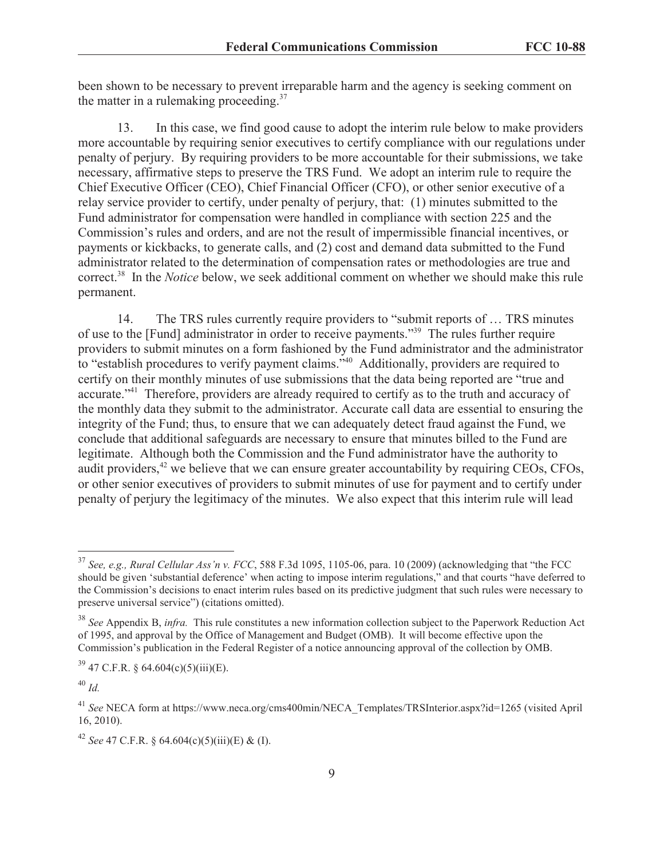been shown to be necessary to prevent irreparable harm and the agency is seeking comment on the matter in a rulemaking proceeding. $37$ 

13. In this case, we find good cause to adopt the interim rule below to make providers more accountable by requiring senior executives to certify compliance with our regulations under penalty of perjury. By requiring providers to be more accountable for their submissions, we take necessary, affirmative steps to preserve the TRS Fund. We adopt an interim rule to require the Chief Executive Officer (CEO), Chief Financial Officer (CFO), or other senior executive of a relay service provider to certify, under penalty of perjury, that: (1) minutes submitted to the Fund administrator for compensation were handled in compliance with section 225 and the Commission's rules and orders, and are not the result of impermissible financial incentives, or payments or kickbacks, to generate calls, and (2) cost and demand data submitted to the Fund administrator related to the determination of compensation rates or methodologies are true and correct.<sup>38</sup> In the *Notice* below, we seek additional comment on whether we should make this rule permanent.

14. The TRS rules currently require providers to "submit reports of … TRS minutes of use to the [Fund] administrator in order to receive payments."<sup>39</sup> The rules further require providers to submit minutes on a form fashioned by the Fund administrator and the administrator to "establish procedures to verify payment claims."<sup>40</sup> Additionally, providers are required to certify on their monthly minutes of use submissions that the data being reported are "true and accurate."<sup>41</sup> Therefore, providers are already required to certify as to the truth and accuracy of the monthly data they submit to the administrator. Accurate call data are essential to ensuring the integrity of the Fund; thus, to ensure that we can adequately detect fraud against the Fund, we conclude that additional safeguards are necessary to ensure that minutes billed to the Fund are legitimate. Although both the Commission and the Fund administrator have the authority to audit providers, $42$  we believe that we can ensure greater accountability by requiring CEOs, CFOs, or other senior executives of providers to submit minutes of use for payment and to certify under penalty of perjury the legitimacy of the minutes. We also expect that this interim rule will lead

<sup>37</sup> *See, e.g., Rural Cellular Ass'n v. FCC*, 588 F.3d 1095, 1105-06, para. 10 (2009) (acknowledging that "the FCC should be given 'substantial deference' when acting to impose interim regulations," and that courts "have deferred to the Commission's decisions to enact interim rules based on its predictive judgment that such rules were necessary to preserve universal service") (citations omitted).

<sup>38</sup> *See* Appendix B, *infra.* This rule constitutes a new information collection subject to the Paperwork Reduction Act of 1995, and approval by the Office of Management and Budget (OMB). It will become effective upon the Commission's publication in the Federal Register of a notice announcing approval of the collection by OMB.

 $39\,47$  C.F.R. § 64.604(c)(5)(iii)(E).

<sup>40</sup> *Id.*

<sup>&</sup>lt;sup>41</sup> See NECA form at https://www.neca.org/cms400min/NECA\_Templates/TRSInterior.aspx?id=1265 (visited April 16, 2010).

<sup>42</sup> *See* 47 C.F.R. § 64.604(c)(5)(iii)(E) & (I).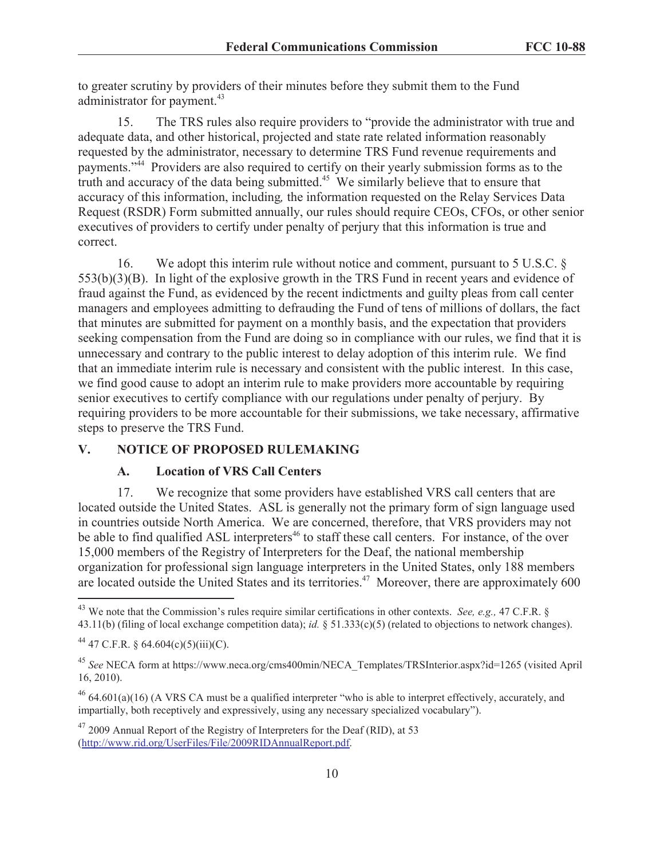to greater scrutiny by providers of their minutes before they submit them to the Fund administrator for payment.<sup>43</sup>

15. The TRS rules also require providers to "provide the administrator with true and adequate data, and other historical, projected and state rate related information reasonably requested by the administrator, necessary to determine TRS Fund revenue requirements and payments."<sup>44</sup> Providers are also required to certify on their yearly submission forms as to the truth and accuracy of the data being submitted.<sup>45</sup> We similarly believe that to ensure that accuracy of this information, including*,* the information requested on the Relay Services Data Request (RSDR) Form submitted annually, our rules should require CEOs, CFOs, or other senior executives of providers to certify under penalty of perjury that this information is true and correct.

16. We adopt this interim rule without notice and comment, pursuant to 5 U.S.C. § 553(b)(3)(B). In light of the explosive growth in the TRS Fund in recent years and evidence of fraud against the Fund, as evidenced by the recent indictments and guilty pleas from call center managers and employees admitting to defrauding the Fund of tens of millions of dollars, the fact that minutes are submitted for payment on a monthly basis, and the expectation that providers seeking compensation from the Fund are doing so in compliance with our rules, we find that it is unnecessary and contrary to the public interest to delay adoption of this interim rule. We find that an immediate interim rule is necessary and consistent with the public interest. In this case, we find good cause to adopt an interim rule to make providers more accountable by requiring senior executives to certify compliance with our regulations under penalty of perjury. By requiring providers to be more accountable for their submissions, we take necessary, affirmative steps to preserve the TRS Fund.

# **V. NOTICE OF PROPOSED RULEMAKING**

#### **A. Location of VRS Call Centers**

17. We recognize that some providers have established VRS call centers that are located outside the United States. ASL is generally not the primary form of sign language used in countries outside North America. We are concerned, therefore, that VRS providers may not be able to find qualified ASL interpreters<sup>46</sup> to staff these call centers. For instance, of the over 15,000 members of the Registry of Interpreters for the Deaf, the national membership organization for professional sign language interpreters in the United States, only 188 members are located outside the United States and its territories.<sup>47</sup> Moreover, there are approximately 600

<sup>43</sup> We note that the Commission's rules require similar certifications in other contexts. *See, e.g.,* 47 C.F.R. § 43.11(b) (filing of local exchange competition data); *id.* § 51.333(c)(5) (related to objections to network changes).

<sup>&</sup>lt;sup>44</sup> 47 C.F.R. § 64.604(c)(5)(iii)(C).

<sup>45</sup> *See* NECA form at https://www.neca.org/cms400min/NECA\_Templates/TRSInterior.aspx?id=1265 (visited April 16, 2010).

 $^{46}$  64.601(a)(16) (A VRS CA must be a qualified interpreter "who is able to interpret effectively, accurately, and impartially, both receptively and expressively, using any necessary specialized vocabulary").

 $47$  2009 Annual Report of the Registry of Interpreters for the Deaf (RID), at 53 (http://www.rid.org/UserFiles/File/2009RIDAnnualReport.pdf.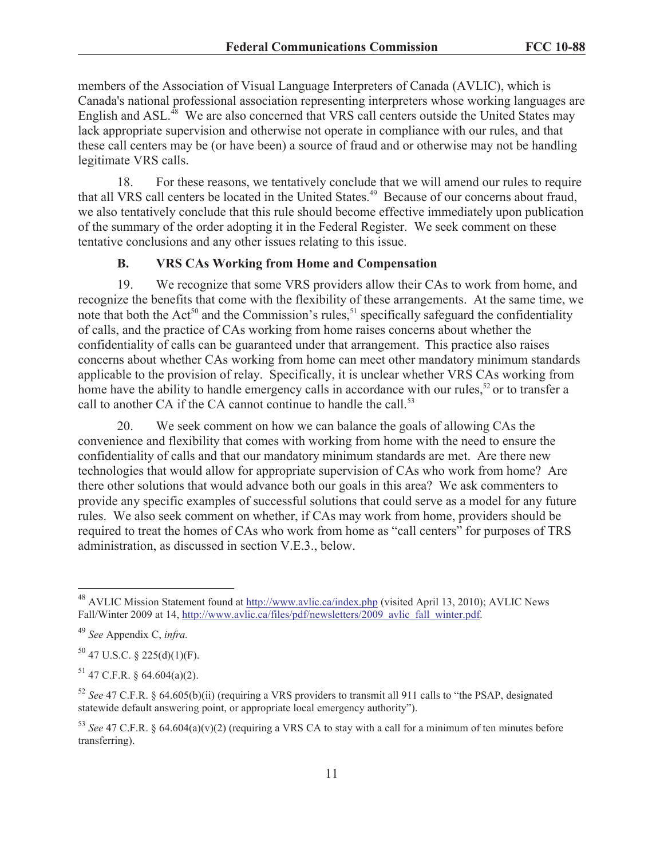members of the Association of Visual Language Interpreters of Canada (AVLIC), which is Canada's national professional association representing interpreters whose working languages are English and ASL.<sup>48</sup> We are also concerned that VRS call centers outside the United States may lack appropriate supervision and otherwise not operate in compliance with our rules, and that these call centers may be (or have been) a source of fraud and or otherwise may not be handling legitimate VRS calls.

18. For these reasons, we tentatively conclude that we will amend our rules to require that all VRS call centers be located in the United States.<sup>49</sup> Because of our concerns about fraud, we also tentatively conclude that this rule should become effective immediately upon publication of the summary of the order adopting it in the Federal Register. We seek comment on these tentative conclusions and any other issues relating to this issue.

# **B. VRS CAs Working from Home and Compensation**

19. We recognize that some VRS providers allow their CAs to work from home, and recognize the benefits that come with the flexibility of these arrangements. At the same time, we note that both the Act<sup>50</sup> and the Commission's rules,<sup>51</sup> specifically safeguard the confidentiality of calls, and the practice of CAs working from home raises concerns about whether the confidentiality of calls can be guaranteed under that arrangement. This practice also raises concerns about whether CAs working from home can meet other mandatory minimum standards applicable to the provision of relay. Specifically, it is unclear whether VRS CAs working from home have the ability to handle emergency calls in accordance with our rules,<sup>52</sup> or to transfer a call to another CA if the CA cannot continue to handle the call.<sup>53</sup>

20. We seek comment on how we can balance the goals of allowing CAs the convenience and flexibility that comes with working from home with the need to ensure the confidentiality of calls and that our mandatory minimum standards are met. Are there new technologies that would allow for appropriate supervision of CAs who work from home? Are there other solutions that would advance both our goals in this area? We ask commenters to provide any specific examples of successful solutions that could serve as a model for any future rules. We also seek comment on whether, if CAs may work from home, providers should be required to treat the homes of CAs who work from home as "call centers" for purposes of TRS administration, as discussed in section V.E.3., below.

<sup>48</sup> AVLIC Mission Statement found at http://www.avlic.ca/index.php (visited April 13, 2010); AVLIC News Fall/Winter 2009 at 14, http://www.avlic.ca/files/pdf/newsletters/2009\_avlic\_fall\_winter.pdf.

<sup>49</sup> *See* Appendix C, *infra.*

 $50$  47 U.S.C. § 225(d)(1)(F).

 $51$  47 C.F.R. § 64.604(a)(2).

<sup>52</sup> *See* 47 C.F.R. § 64.605(b)(ii) (requiring a VRS providers to transmit all 911 calls to "the PSAP, designated statewide default answering point, or appropriate local emergency authority").

<sup>&</sup>lt;sup>53</sup> *See* 47 C.F.R. § 64.604(a)(v)(2) (requiring a VRS CA to stay with a call for a minimum of ten minutes before transferring).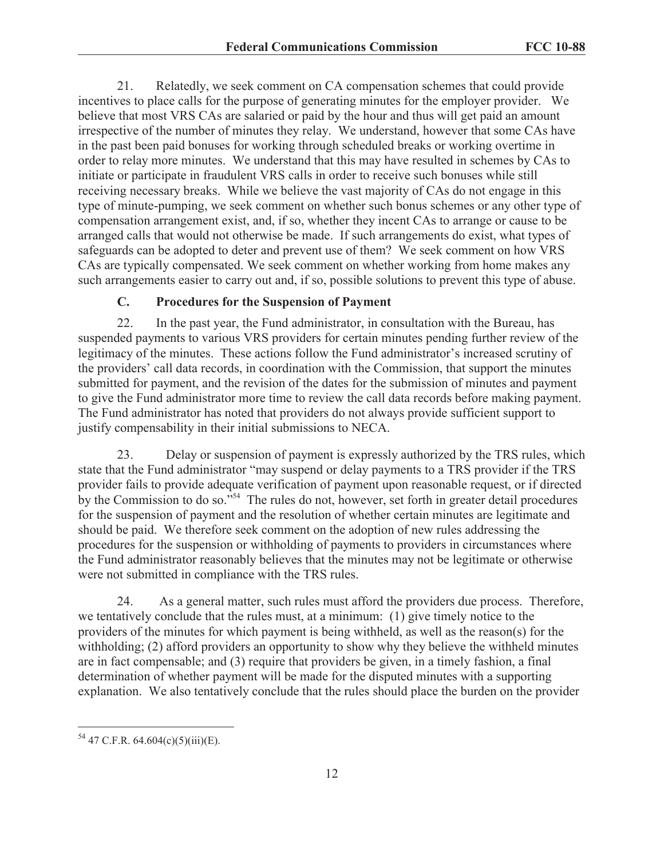21. Relatedly, we seek comment on CA compensation schemes that could provide incentives to place calls for the purpose of generating minutes for the employer provider. We believe that most VRS CAs are salaried or paid by the hour and thus will get paid an amount irrespective of the number of minutes they relay. We understand, however that some CAs have in the past been paid bonuses for working through scheduled breaks or working overtime in order to relay more minutes. We understand that this may have resulted in schemes by CAs to initiate or participate in fraudulent VRS calls in order to receive such bonuses while still receiving necessary breaks. While we believe the vast majority of CAs do not engage in this type of minute-pumping, we seek comment on whether such bonus schemes or any other type of compensation arrangement exist, and, if so, whether they incent CAs to arrange or cause to be arranged calls that would not otherwise be made. If such arrangements do exist, what types of safeguards can be adopted to deter and prevent use of them? We seek comment on how VRS CAs are typically compensated. We seek comment on whether working from home makes any such arrangements easier to carry out and, if so, possible solutions to prevent this type of abuse.

## **C. Procedures for the Suspension of Payment**

22. In the past year, the Fund administrator, in consultation with the Bureau, has suspended payments to various VRS providers for certain minutes pending further review of the legitimacy of the minutes. These actions follow the Fund administrator's increased scrutiny of the providers' call data records, in coordination with the Commission, that support the minutes submitted for payment, and the revision of the dates for the submission of minutes and payment to give the Fund administrator more time to review the call data records before making payment. The Fund administrator has noted that providers do not always provide sufficient support to justify compensability in their initial submissions to NECA.

23. Delay or suspension of payment is expressly authorized by the TRS rules, which state that the Fund administrator "may suspend or delay payments to a TRS provider if the TRS provider fails to provide adequate verification of payment upon reasonable request, or if directed by the Commission to do so."<sup>54</sup> The rules do not, however, set forth in greater detail procedures for the suspension of payment and the resolution of whether certain minutes are legitimate and should be paid. We therefore seek comment on the adoption of new rules addressing the procedures for the suspension or withholding of payments to providers in circumstances where the Fund administrator reasonably believes that the minutes may not be legitimate or otherwise were not submitted in compliance with the TRS rules.

24. As a general matter, such rules must afford the providers due process. Therefore, we tentatively conclude that the rules must, at a minimum: (1) give timely notice to the providers of the minutes for which payment is being withheld, as well as the reason(s) for the withholding; (2) afford providers an opportunity to show why they believe the withheld minutes are in fact compensable; and (3) require that providers be given, in a timely fashion, a final determination of whether payment will be made for the disputed minutes with a supporting explanation. We also tentatively conclude that the rules should place the burden on the provider

<sup>54</sup> 47 C.F.R. 64.604(c)(5)(iii)(E).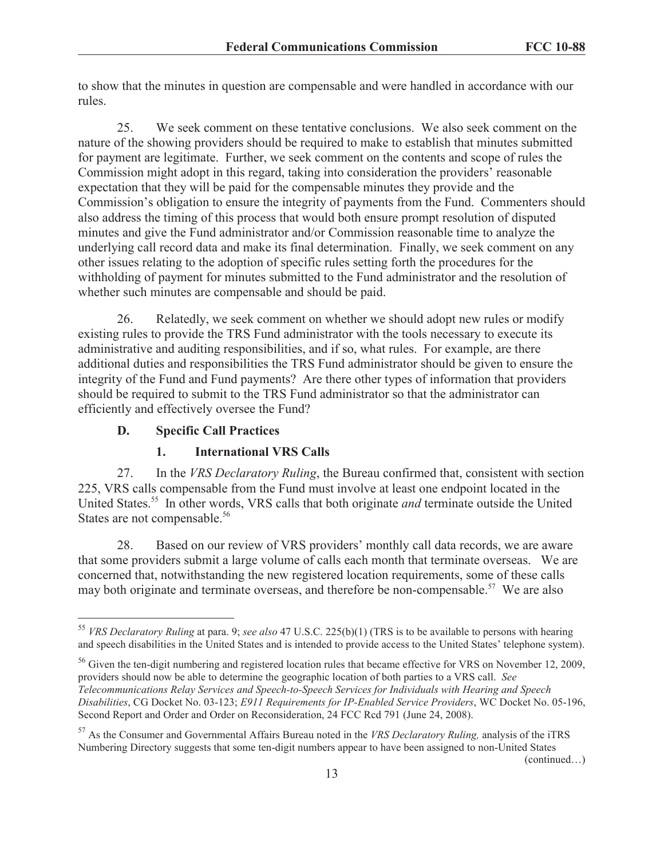to show that the minutes in question are compensable and were handled in accordance with our rules.

25. We seek comment on these tentative conclusions. We also seek comment on the nature of the showing providers should be required to make to establish that minutes submitted for payment are legitimate. Further, we seek comment on the contents and scope of rules the Commission might adopt in this regard, taking into consideration the providers' reasonable expectation that they will be paid for the compensable minutes they provide and the Commission's obligation to ensure the integrity of payments from the Fund. Commenters should also address the timing of this process that would both ensure prompt resolution of disputed minutes and give the Fund administrator and/or Commission reasonable time to analyze the underlying call record data and make its final determination. Finally, we seek comment on any other issues relating to the adoption of specific rules setting forth the procedures for the withholding of payment for minutes submitted to the Fund administrator and the resolution of whether such minutes are compensable and should be paid.

26. Relatedly, we seek comment on whether we should adopt new rules or modify existing rules to provide the TRS Fund administrator with the tools necessary to execute its administrative and auditing responsibilities, and if so, what rules. For example, are there additional duties and responsibilities the TRS Fund administrator should be given to ensure the integrity of the Fund and Fund payments? Are there other types of information that providers should be required to submit to the TRS Fund administrator so that the administrator can efficiently and effectively oversee the Fund?

# **D. Specific Call Practices**

# **1. International VRS Calls**

27. In the *VRS Declaratory Ruling*, the Bureau confirmed that, consistent with section 225, VRS calls compensable from the Fund must involve at least one endpoint located in the United States.<sup>55</sup> In other words, VRS calls that both originate *and* terminate outside the United States are not compensable.<sup>56</sup>

28. Based on our review of VRS providers' monthly call data records, we are aware that some providers submit a large volume of calls each month that terminate overseas. We are concerned that, notwithstanding the new registered location requirements, some of these calls may both originate and terminate overseas, and therefore be non-compensable.<sup>57</sup> We are also

(continued…)

<sup>55</sup> *VRS Declaratory Ruling* at para. 9; *see also* 47 U.S.C. 225(b)(1) (TRS is to be available to persons with hearing and speech disabilities in the United States and is intended to provide access to the United States' telephone system).

<sup>&</sup>lt;sup>56</sup> Given the ten-digit numbering and registered location rules that became effective for VRS on November 12, 2009, providers should now be able to determine the geographic location of both parties to a VRS call. *See Telecommunications Relay Services and Speech-to-Speech Services for Individuals with Hearing and Speech Disabilities*, CG Docket No. 03-123; *E911 Requirements for IP-Enabled Service Providers*, WC Docket No. 05-196, Second Report and Order and Order on Reconsideration, 24 FCC Rcd 791 (June 24, 2008).

<sup>57</sup> As the Consumer and Governmental Affairs Bureau noted in the *VRS Declaratory Ruling,* analysis of the iTRS Numbering Directory suggests that some ten-digit numbers appear to have been assigned to non-United States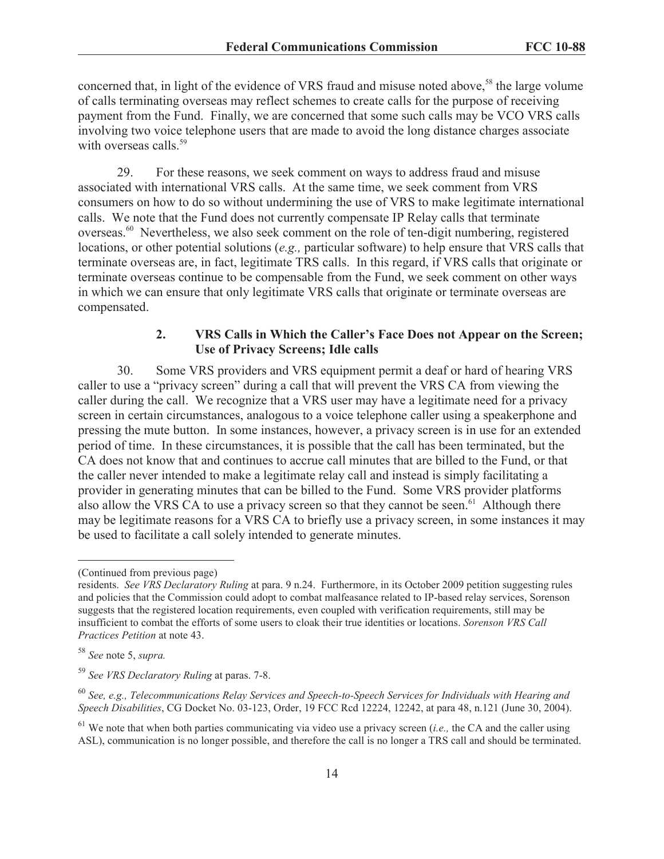concerned that, in light of the evidence of VRS fraud and misuse noted above,<sup>58</sup> the large volume of calls terminating overseas may reflect schemes to create calls for the purpose of receiving payment from the Fund. Finally, we are concerned that some such calls may be VCO VRS calls involving two voice telephone users that are made to avoid the long distance charges associate with overseas calls.<sup>59</sup>

29. For these reasons, we seek comment on ways to address fraud and misuse associated with international VRS calls. At the same time, we seek comment from VRS consumers on how to do so without undermining the use of VRS to make legitimate international calls. We note that the Fund does not currently compensate IP Relay calls that terminate overseas.<sup>60</sup> Nevertheless, we also seek comment on the role of ten-digit numbering, registered locations, or other potential solutions (*e.g.,* particular software) to help ensure that VRS calls that terminate overseas are, in fact, legitimate TRS calls. In this regard, if VRS calls that originate or terminate overseas continue to be compensable from the Fund, we seek comment on other ways in which we can ensure that only legitimate VRS calls that originate or terminate overseas are compensated.

# **2. VRS Calls in Which the Caller's Face Does not Appear on the Screen; Use of Privacy Screens; Idle calls**

30. Some VRS providers and VRS equipment permit a deaf or hard of hearing VRS caller to use a "privacy screen" during a call that will prevent the VRS CA from viewing the caller during the call. We recognize that a VRS user may have a legitimate need for a privacy screen in certain circumstances, analogous to a voice telephone caller using a speakerphone and pressing the mute button. In some instances, however, a privacy screen is in use for an extended period of time. In these circumstances, it is possible that the call has been terminated, but the CA does not know that and continues to accrue call minutes that are billed to the Fund, or that the caller never intended to make a legitimate relay call and instead is simply facilitating a provider in generating minutes that can be billed to the Fund. Some VRS provider platforms also allow the VRS CA to use a privacy screen so that they cannot be seen.<sup>61</sup> Although there may be legitimate reasons for a VRS CA to briefly use a privacy screen, in some instances it may be used to facilitate a call solely intended to generate minutes.

<sup>(</sup>Continued from previous page)

residents. *See VRS Declaratory Ruling* at para. 9 n.24. Furthermore, in its October 2009 petition suggesting rules and policies that the Commission could adopt to combat malfeasance related to IP-based relay services, Sorenson suggests that the registered location requirements, even coupled with verification requirements, still may be insufficient to combat the efforts of some users to cloak their true identities or locations. *Sorenson VRS Call Practices Petition* at note 43.

<sup>58</sup> *See* note 5, *supra.*

<sup>59</sup> *See VRS Declaratory Ruling* at paras. 7-8.

<sup>60</sup> *See, e.g., Telecommunications Relay Services and Speech-to-Speech Services for Individuals with Hearing and Speech Disabilities*, CG Docket No. 03-123, Order, 19 FCC Rcd 12224, 12242, at para 48, n.121 (June 30, 2004).

<sup>61</sup> We note that when both parties communicating via video use a privacy screen (*i.e.,* the CA and the caller using ASL), communication is no longer possible, and therefore the call is no longer a TRS call and should be terminated.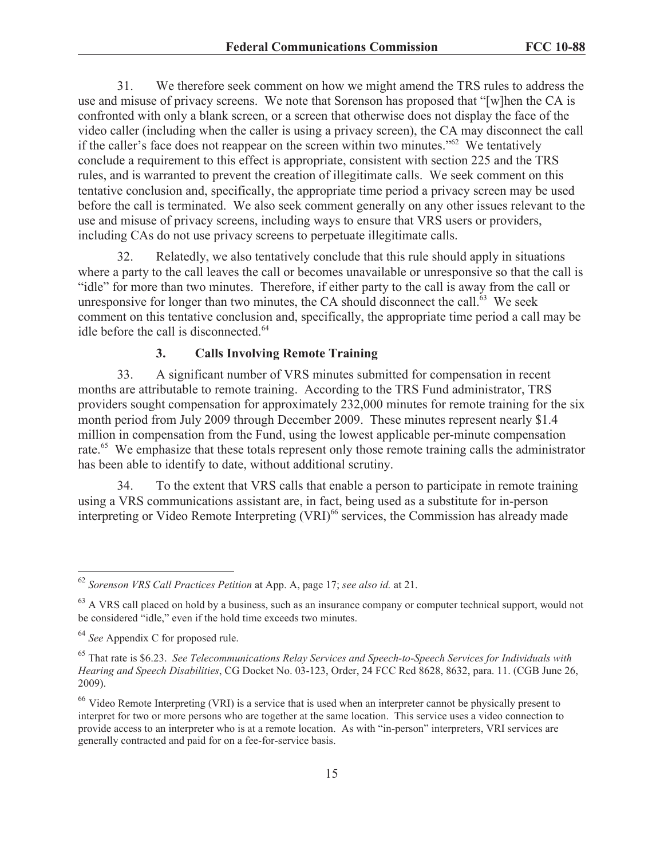31. We therefore seek comment on how we might amend the TRS rules to address the use and misuse of privacy screens. We note that Sorenson has proposed that "[w]hen the CA is confronted with only a blank screen, or a screen that otherwise does not display the face of the video caller (including when the caller is using a privacy screen), the CA may disconnect the call if the caller's face does not reappear on the screen within two minutes." $62$  We tentatively conclude a requirement to this effect is appropriate, consistent with section 225 and the TRS rules, and is warranted to prevent the creation of illegitimate calls. We seek comment on this tentative conclusion and, specifically, the appropriate time period a privacy screen may be used before the call is terminated. We also seek comment generally on any other issues relevant to the use and misuse of privacy screens, including ways to ensure that VRS users or providers, including CAs do not use privacy screens to perpetuate illegitimate calls.

32. Relatedly, we also tentatively conclude that this rule should apply in situations where a party to the call leaves the call or becomes unavailable or unresponsive so that the call is "idle" for more than two minutes. Therefore, if either party to the call is away from the call or unresponsive for longer than two minutes, the CA should disconnect the call.<sup>63</sup> We seek comment on this tentative conclusion and, specifically, the appropriate time period a call may be idle before the call is disconnected.<sup>64</sup>

## **3. Calls Involving Remote Training**

33. A significant number of VRS minutes submitted for compensation in recent months are attributable to remote training. According to the TRS Fund administrator, TRS providers sought compensation for approximately 232,000 minutes for remote training for the six month period from July 2009 through December 2009. These minutes represent nearly \$1.4 million in compensation from the Fund, using the lowest applicable per-minute compensation rate.<sup>65</sup> We emphasize that these totals represent only those remote training calls the administrator has been able to identify to date, without additional scrutiny.

34. To the extent that VRS calls that enable a person to participate in remote training using a VRS communications assistant are, in fact, being used as a substitute for in-person interpreting or Video Remote Interpreting  $(VRI)^{66}$  services, the Commission has already made

<sup>62</sup> *Sorenson VRS Call Practices Petition* at App. A, page 17; *see also id.* at 21.

 $^{63}$  A VRS call placed on hold by a business, such as an insurance company or computer technical support, would not be considered "idle," even if the hold time exceeds two minutes.

<sup>64</sup> *See* Appendix C for proposed rule.

<sup>65</sup> That rate is \$6.23. *See Telecommunications Relay Services and Speech-to-Speech Services for Individuals with Hearing and Speech Disabilities*, CG Docket No. 03-123, Order, 24 FCC Rcd 8628, 8632, para. 11. (CGB June 26, 2009).

 $66$  Video Remote Interpreting (VRI) is a service that is used when an interpreter cannot be physically present to interpret for two or more persons who are together at the same location. This service uses a video connection to provide access to an interpreter who is at a remote location. As with "in-person" interpreters, VRI services are generally contracted and paid for on a fee-for-service basis.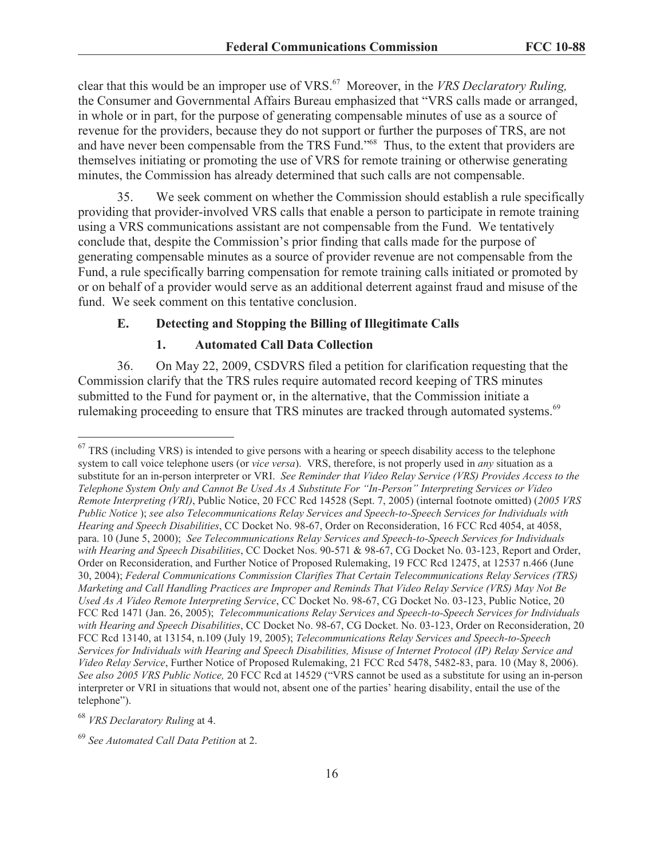clear that this would be an improper use of VRS.<sup>67</sup> Moreover, in the *VRS Declaratory Ruling,* the Consumer and Governmental Affairs Bureau emphasized that "VRS calls made or arranged, in whole or in part, for the purpose of generating compensable minutes of use as a source of revenue for the providers, because they do not support or further the purposes of TRS, are not and have never been compensable from the TRS Fund."<sup>68</sup> Thus, to the extent that providers are themselves initiating or promoting the use of VRS for remote training or otherwise generating minutes, the Commission has already determined that such calls are not compensable.

35. We seek comment on whether the Commission should establish a rule specifically providing that provider-involved VRS calls that enable a person to participate in remote training using a VRS communications assistant are not compensable from the Fund. We tentatively conclude that, despite the Commission's prior finding that calls made for the purpose of generating compensable minutes as a source of provider revenue are not compensable from the Fund, a rule specifically barring compensation for remote training calls initiated or promoted by or on behalf of a provider would serve as an additional deterrent against fraud and misuse of the fund. We seek comment on this tentative conclusion.

## **E. Detecting and Stopping the Billing of Illegitimate Calls**

#### **1. Automated Call Data Collection**

36. On May 22, 2009, CSDVRS filed a petition for clarification requesting that the Commission clarify that the TRS rules require automated record keeping of TRS minutes submitted to the Fund for payment or, in the alternative, that the Commission initiate a rulemaking proceeding to ensure that TRS minutes are tracked through automated systems.<sup>69</sup>

 $67$  TRS (including VRS) is intended to give persons with a hearing or speech disability access to the telephone system to call voice telephone users (or *vice versa*). VRS, therefore, is not properly used in *any* situation as a substitute for an in-person interpreter or VRI. *See Reminder that Video Relay Service (VRS) Provides Access to the Telephone System Only and Cannot Be Used As A Substitute For "In-Person" Interpreting Services or Video Remote Interpreting (VRI)*, Public Notice, 20 FCC Rcd 14528 (Sept. 7, 2005) (internal footnote omitted) (*2005 VRS Public Notice* ); *see also Telecommunications Relay Services and Speech-to-Speech Services for Individuals with Hearing and Speech Disabilities*, CC Docket No. 98-67, Order on Reconsideration, 16 FCC Rcd 4054, at 4058, para. 10 (June 5, 2000); *See Telecommunications Relay Services and Speech-to-Speech Services for Individuals with Hearing and Speech Disabilities*, CC Docket Nos. 90-571 & 98-67, CG Docket No. 03-123, Report and Order, Order on Reconsideration, and Further Notice of Proposed Rulemaking, 19 FCC Rcd 12475, at 12537 n.466 (June 30, 2004); *Federal Communications Commission Clarifies That Certain Telecommunications Relay Services (TRS) Marketing and Call Handling Practices are Improper and Reminds That Video Relay Service (VRS) May Not Be Used As A Video Remote Interpreting Service*, CC Docket No. 98-67, CG Docket No. 03-123, Public Notice, 20 FCC Rcd 1471 (Jan. 26, 2005); *Telecommunications Relay Services and Speech-to-Speech Services for Individuals with Hearing and Speech Disabilities*, CC Docket No. 98-67, CG Docket. No. 03-123, Order on Reconsideration, 20 FCC Rcd 13140, at 13154, n.109 (July 19, 2005); *Telecommunications Relay Services and Speech-to-Speech Services for Individuals with Hearing and Speech Disabilities, Misuse of Internet Protocol (IP) Relay Service and Video Relay Service*, Further Notice of Proposed Rulemaking, 21 FCC Rcd 5478, 5482-83, para. 10 (May 8, 2006). *See also 2005 VRS Public Notice,* 20 FCC Rcd at 14529 ("VRS cannot be used as a substitute for using an in-person interpreter or VRI in situations that would not, absent one of the parties' hearing disability, entail the use of the telephone").

<sup>68</sup> *VRS Declaratory Ruling* at 4.

<sup>69</sup> *See Automated Call Data Petition* at 2.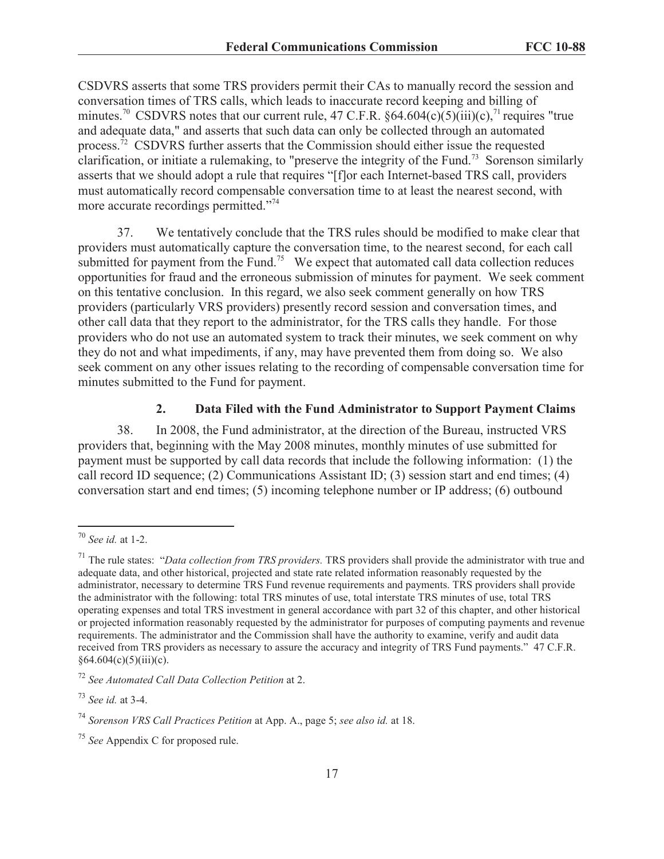CSDVRS asserts that some TRS providers permit their CAs to manually record the session and conversation times of TRS calls, which leads to inaccurate record keeping and billing of minutes.<sup>70</sup> CSDVRS notes that our current rule, 47 C.F.R. §64.604(c)(5)(iii)(c),<sup>71</sup> requires "true and adequate data," and asserts that such data can only be collected through an automated process. $^{72}$  CSDVRS further asserts that the Commission should either issue the requested clarification, or initiate a rulemaking, to "preserve the integrity of the Fund.<sup>73</sup> Sorenson similarly asserts that we should adopt a rule that requires "[f]or each Internet-based TRS call, providers must automatically record compensable conversation time to at least the nearest second, with more accurate recordings permitted."<sup>74</sup>

37. We tentatively conclude that the TRS rules should be modified to make clear that providers must automatically capture the conversation time, to the nearest second, for each call submitted for payment from the Fund.<sup>75</sup> We expect that automated call data collection reduces opportunities for fraud and the erroneous submission of minutes for payment. We seek comment on this tentative conclusion. In this regard, we also seek comment generally on how TRS providers (particularly VRS providers) presently record session and conversation times, and other call data that they report to the administrator, for the TRS calls they handle. For those providers who do not use an automated system to track their minutes, we seek comment on why they do not and what impediments, if any, may have prevented them from doing so. We also seek comment on any other issues relating to the recording of compensable conversation time for minutes submitted to the Fund for payment.

#### **2. Data Filed with the Fund Administrator to Support Payment Claims**

38. In 2008, the Fund administrator, at the direction of the Bureau, instructed VRS providers that, beginning with the May 2008 minutes, monthly minutes of use submitted for payment must be supported by call data records that include the following information: (1) the call record ID sequence; (2) Communications Assistant ID; (3) session start and end times; (4) conversation start and end times; (5) incoming telephone number or IP address; (6) outbound

<sup>70</sup> *See id.* at 1-2.

<sup>71</sup> The rule states: "*Data collection from TRS providers.* TRS providers shall provide the administrator with true and adequate data, and other historical, projected and state rate related information reasonably requested by the administrator, necessary to determine TRS Fund revenue requirements and payments. TRS providers shall provide the administrator with the following: total TRS minutes of use, total interstate TRS minutes of use, total TRS operating expenses and total TRS investment in general accordance with part 32 of this chapter, and other historical or projected information reasonably requested by the administrator for purposes of computing payments and revenue requirements. The administrator and the Commission shall have the authority to examine, verify and audit data received from TRS providers as necessary to assure the accuracy and integrity of TRS Fund payments." 47 C.F.R.  $§64.604(c)(5)(iii)(c).$ 

<sup>72</sup> *See Automated Call Data Collection Petition* at 2.

<sup>73</sup> *See id.* at 3-4.

<sup>74</sup> *Sorenson VRS Call Practices Petition* at App. A., page 5; *see also id.* at 18.

<sup>75</sup> *See* Appendix C for proposed rule.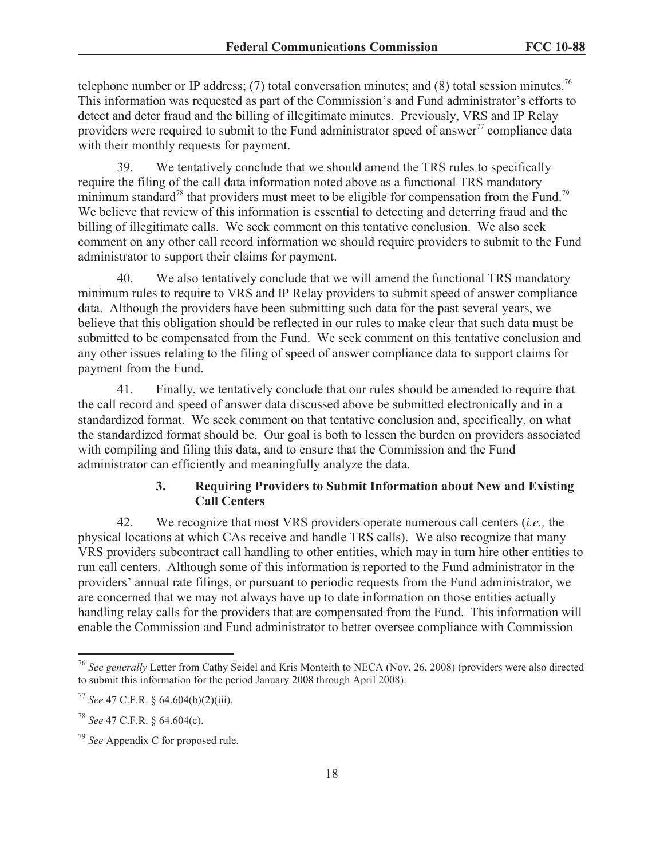telephone number or IP address; (7) total conversation minutes; and (8) total session minutes.<sup>76</sup> This information was requested as part of the Commission's and Fund administrator's efforts to detect and deter fraud and the billing of illegitimate minutes. Previously, VRS and IP Relay providers were required to submit to the Fund administrator speed of answer<sup>77</sup> compliance data with their monthly requests for payment.

39. We tentatively conclude that we should amend the TRS rules to specifically require the filing of the call data information noted above as a functional TRS mandatory minimum standard<sup>78</sup> that providers must meet to be eligible for compensation from the Fund.<sup>79</sup> We believe that review of this information is essential to detecting and deterring fraud and the billing of illegitimate calls. We seek comment on this tentative conclusion. We also seek comment on any other call record information we should require providers to submit to the Fund administrator to support their claims for payment.

40. We also tentatively conclude that we will amend the functional TRS mandatory minimum rules to require to VRS and IP Relay providers to submit speed of answer compliance data. Although the providers have been submitting such data for the past several years, we believe that this obligation should be reflected in our rules to make clear that such data must be submitted to be compensated from the Fund. We seek comment on this tentative conclusion and any other issues relating to the filing of speed of answer compliance data to support claims for payment from the Fund.

41. Finally, we tentatively conclude that our rules should be amended to require that the call record and speed of answer data discussed above be submitted electronically and in a standardized format. We seek comment on that tentative conclusion and, specifically, on what the standardized format should be. Our goal is both to lessen the burden on providers associated with compiling and filing this data, and to ensure that the Commission and the Fund administrator can efficiently and meaningfully analyze the data.

# **3. Requiring Providers to Submit Information about New and Existing Call Centers**

42. We recognize that most VRS providers operate numerous call centers (*i.e.,* the physical locations at which CAs receive and handle TRS calls). We also recognize that many VRS providers subcontract call handling to other entities, which may in turn hire other entities to run call centers. Although some of this information is reported to the Fund administrator in the providers' annual rate filings, or pursuant to periodic requests from the Fund administrator, we are concerned that we may not always have up to date information on those entities actually handling relay calls for the providers that are compensated from the Fund. This information will enable the Commission and Fund administrator to better oversee compliance with Commission

<sup>76</sup> *See generally* Letter from Cathy Seidel and Kris Monteith to NECA (Nov. 26, 2008) (providers were also directed to submit this information for the period January 2008 through April 2008).

<sup>77</sup> *See* 47 C.F.R. § 64.604(b)(2)(iii).

<sup>78</sup> *See* 47 C.F.R. § 64.604(c).

<sup>79</sup> *See* Appendix C for proposed rule.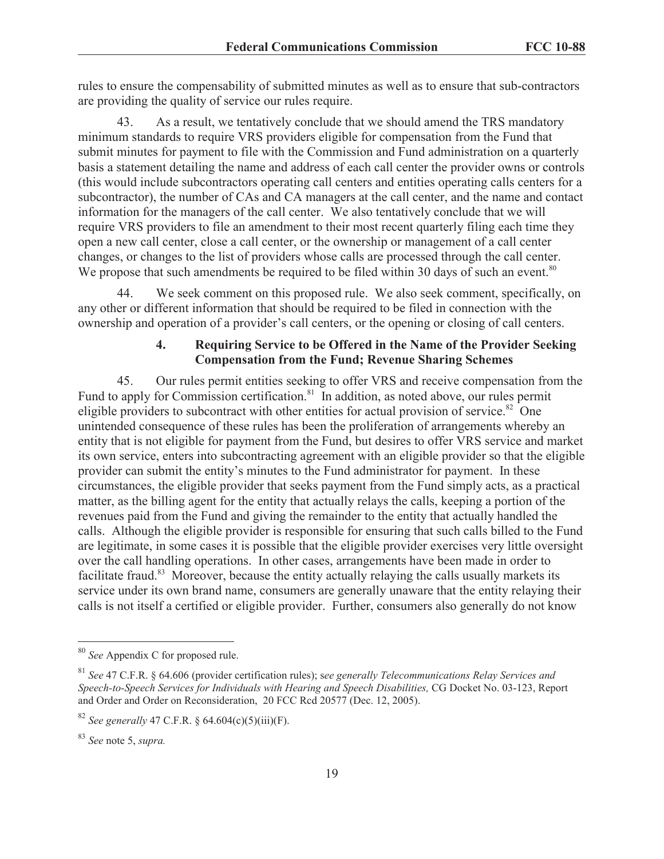rules to ensure the compensability of submitted minutes as well as to ensure that sub-contractors are providing the quality of service our rules require.

43. As a result, we tentatively conclude that we should amend the TRS mandatory minimum standards to require VRS providers eligible for compensation from the Fund that submit minutes for payment to file with the Commission and Fund administration on a quarterly basis a statement detailing the name and address of each call center the provider owns or controls (this would include subcontractors operating call centers and entities operating calls centers for a subcontractor), the number of CAs and CA managers at the call center, and the name and contact information for the managers of the call center. We also tentatively conclude that we will require VRS providers to file an amendment to their most recent quarterly filing each time they open a new call center, close a call center, or the ownership or management of a call center changes, or changes to the list of providers whose calls are processed through the call center. We propose that such amendments be required to be filed within 30 days of such an event.<sup>80</sup>

44. We seek comment on this proposed rule. We also seek comment, specifically, on any other or different information that should be required to be filed in connection with the ownership and operation of a provider's call centers, or the opening or closing of call centers.

# **4. Requiring Service to be Offered in the Name of the Provider Seeking Compensation from the Fund; Revenue Sharing Schemes**

45. Our rules permit entities seeking to offer VRS and receive compensation from the Fund to apply for Commission certification.<sup>81</sup> In addition, as noted above, our rules permit eligible providers to subcontract with other entities for actual provision of service.<sup>82</sup> One unintended consequence of these rules has been the proliferation of arrangements whereby an entity that is not eligible for payment from the Fund, but desires to offer VRS service and market its own service, enters into subcontracting agreement with an eligible provider so that the eligible provider can submit the entity's minutes to the Fund administrator for payment. In these circumstances, the eligible provider that seeks payment from the Fund simply acts, as a practical matter, as the billing agent for the entity that actually relays the calls, keeping a portion of the revenues paid from the Fund and giving the remainder to the entity that actually handled the calls. Although the eligible provider is responsible for ensuring that such calls billed to the Fund are legitimate, in some cases it is possible that the eligible provider exercises very little oversight over the call handling operations. In other cases, arrangements have been made in order to facilitate fraud.<sup>83</sup> Moreover, because the entity actually relaying the calls usually markets its service under its own brand name, consumers are generally unaware that the entity relaying their calls is not itself a certified or eligible provider. Further, consumers also generally do not know

<sup>80</sup> *See* Appendix C for proposed rule.

<sup>81</sup> *See* 47 C.F.R. § 64.606 (provider certification rules); s*ee generally Telecommunications Relay Services and Speech-to-Speech Services for Individuals with Hearing and Speech Disabilities,* CG Docket No. 03-123, Report and Order and Order on Reconsideration, 20 FCC Rcd 20577 (Dec. 12, 2005).

<sup>&</sup>lt;sup>82</sup> *See generally* 47 C.F.R. § 64.604(c)(5)(iii)(F).

<sup>83</sup> *See* note 5, *supra.*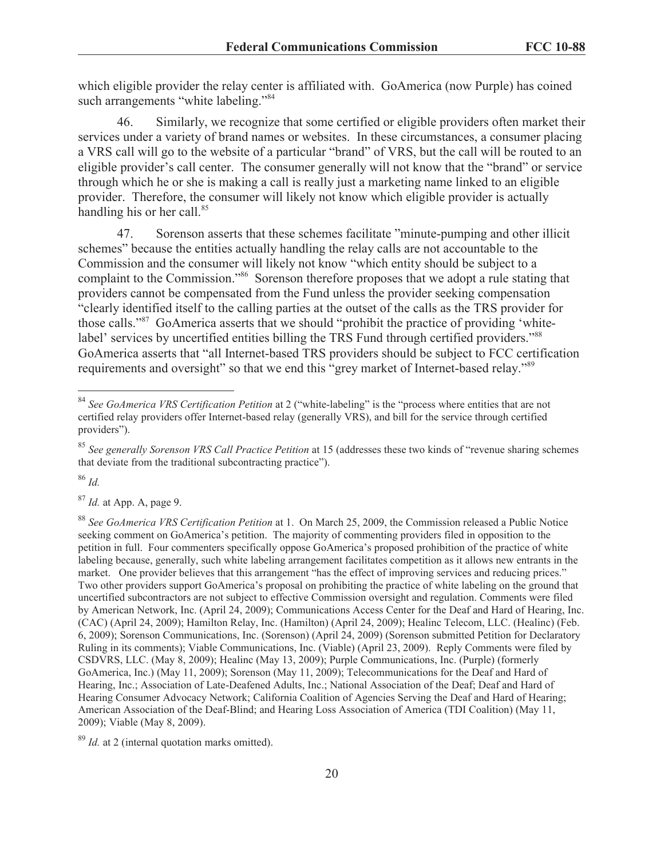which eligible provider the relay center is affiliated with. GoAmerica (now Purple) has coined such arrangements "white labeling."<sup>84</sup>

46. Similarly, we recognize that some certified or eligible providers often market their services under a variety of brand names or websites. In these circumstances, a consumer placing a VRS call will go to the website of a particular "brand" of VRS, but the call will be routed to an eligible provider's call center. The consumer generally will not know that the "brand" or service through which he or she is making a call is really just a marketing name linked to an eligible provider. Therefore, the consumer will likely not know which eligible provider is actually handling his or her call.<sup>85</sup>

47. Sorenson asserts that these schemes facilitate "minute-pumping and other illicit schemes" because the entities actually handling the relay calls are not accountable to the Commission and the consumer will likely not know "which entity should be subject to a complaint to the Commission."<sup>86</sup> Sorenson therefore proposes that we adopt a rule stating that providers cannot be compensated from the Fund unless the provider seeking compensation "clearly identified itself to the calling parties at the outset of the calls as the TRS provider for those calls."<sup>87</sup> GoAmerica asserts that we should "prohibit the practice of providing 'whitelabel' services by uncertified entities billing the TRS Fund through certified providers."<sup>88</sup> GoAmerica asserts that "all Internet-based TRS providers should be subject to FCC certification requirements and oversight" so that we end this "grey market of Internet-based relay."<sup>89</sup>

<sup>86</sup> *Id.*

<sup>87</sup> *Id.* at App. A, page 9.

<sup>89</sup> *Id.* at 2 (internal quotation marks omitted).

<sup>84</sup> *See GoAmerica VRS Certification Petition* at 2 ("white-labeling" is the "process where entities that are not certified relay providers offer Internet-based relay (generally VRS), and bill for the service through certified providers").

<sup>85</sup> *See generally Sorenson VRS Call Practice Petition* at 15 (addresses these two kinds of "revenue sharing schemes that deviate from the traditional subcontracting practice").

<sup>88</sup> *See GoAmerica VRS Certification Petition* at 1. On March 25, 2009, the Commission released a Public Notice seeking comment on GoAmerica's petition. The majority of commenting providers filed in opposition to the petition in full. Four commenters specifically oppose GoAmerica's proposed prohibition of the practice of white labeling because, generally, such white labeling arrangement facilitates competition as it allows new entrants in the market. One provider believes that this arrangement "has the effect of improving services and reducing prices." Two other providers support GoAmerica's proposal on prohibiting the practice of white labeling on the ground that uncertified subcontractors are not subject to effective Commission oversight and regulation. Comments were filed by American Network, Inc. (April 24, 2009); Communications Access Center for the Deaf and Hard of Hearing, Inc. (CAC) (April 24, 2009); Hamilton Relay, Inc. (Hamilton) (April 24, 2009); Healinc Telecom, LLC. (Healinc) (Feb. 6, 2009); Sorenson Communications, Inc. (Sorenson) (April 24, 2009) (Sorenson submitted Petition for Declaratory Ruling in its comments); Viable Communications, Inc. (Viable) (April 23, 2009). Reply Comments were filed by CSDVRS, LLC. (May 8, 2009); Healinc (May 13, 2009); Purple Communications, Inc. (Purple) (formerly GoAmerica, Inc.) (May 11, 2009); Sorenson (May 11, 2009); Telecommunications for the Deaf and Hard of Hearing, Inc.; Association of Late-Deafened Adults, Inc.; National Association of the Deaf; Deaf and Hard of Hearing Consumer Advocacy Network; California Coalition of Agencies Serving the Deaf and Hard of Hearing; American Association of the Deaf-Blind; and Hearing Loss Association of America (TDI Coalition) (May 11, 2009); Viable (May 8, 2009).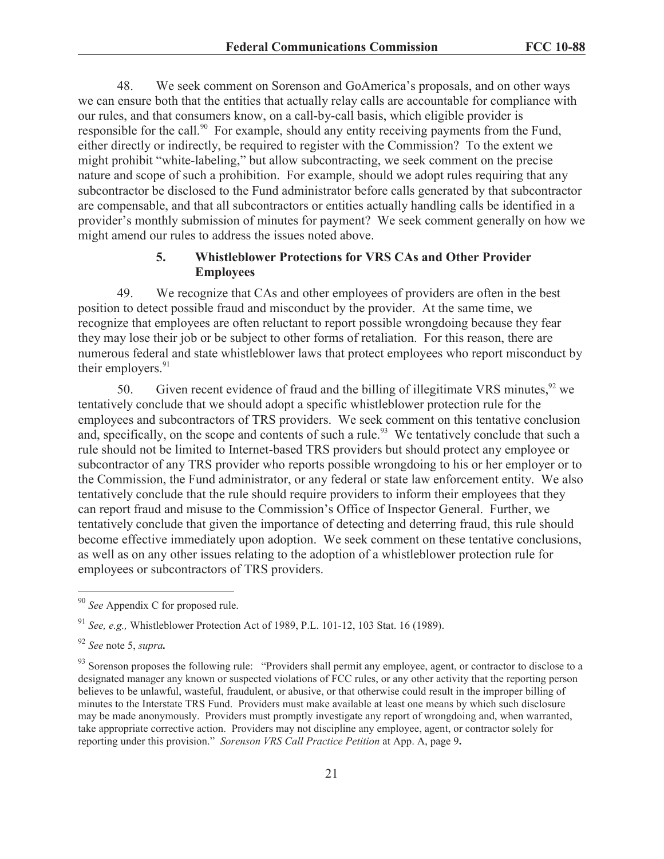48. We seek comment on Sorenson and GoAmerica's proposals, and on other ways we can ensure both that the entities that actually relay calls are accountable for compliance with our rules, and that consumers know, on a call-by-call basis, which eligible provider is responsible for the call.<sup>90</sup> For example, should any entity receiving payments from the Fund, either directly or indirectly, be required to register with the Commission? To the extent we might prohibit "white-labeling," but allow subcontracting, we seek comment on the precise nature and scope of such a prohibition. For example, should we adopt rules requiring that any subcontractor be disclosed to the Fund administrator before calls generated by that subcontractor are compensable, and that all subcontractors or entities actually handling calls be identified in a provider's monthly submission of minutes for payment? We seek comment generally on how we might amend our rules to address the issues noted above.

# **5. Whistleblower Protections for VRS CAs and Other Provider Employees**

49. We recognize that CAs and other employees of providers are often in the best position to detect possible fraud and misconduct by the provider. At the same time, we recognize that employees are often reluctant to report possible wrongdoing because they fear they may lose their job or be subject to other forms of retaliation. For this reason, there are numerous federal and state whistleblower laws that protect employees who report misconduct by their employers. $91$ 

50. Given recent evidence of fraud and the billing of illegitimate VRS minutes,<sup>92</sup> we tentatively conclude that we should adopt a specific whistleblower protection rule for the employees and subcontractors of TRS providers. We seek comment on this tentative conclusion and, specifically, on the scope and contents of such a rule.<sup>93</sup> We tentatively conclude that such a rule should not be limited to Internet-based TRS providers but should protect any employee or subcontractor of any TRS provider who reports possible wrongdoing to his or her employer or to the Commission, the Fund administrator, or any federal or state law enforcement entity. We also tentatively conclude that the rule should require providers to inform their employees that they can report fraud and misuse to the Commission's Office of Inspector General. Further, we tentatively conclude that given the importance of detecting and deterring fraud, this rule should become effective immediately upon adoption. We seek comment on these tentative conclusions, as well as on any other issues relating to the adoption of a whistleblower protection rule for employees or subcontractors of TRS providers.

<sup>90</sup> *See* Appendix C for proposed rule.

<sup>91</sup> *See, e.g.,* Whistleblower Protection Act of 1989, P.L. 101-12, 103 Stat. 16 (1989).

<sup>92</sup> *See* note 5, *supra.*

<sup>&</sup>lt;sup>93</sup> Sorenson proposes the following rule: "Providers shall permit any employee, agent, or contractor to disclose to a designated manager any known or suspected violations of FCC rules, or any other activity that the reporting person believes to be unlawful, wasteful, fraudulent, or abusive, or that otherwise could result in the improper billing of minutes to the Interstate TRS Fund. Providers must make available at least one means by which such disclosure may be made anonymously. Providers must promptly investigate any report of wrongdoing and, when warranted, take appropriate corrective action. Providers may not discipline any employee, agent, or contractor solely for reporting under this provision." *Sorenson VRS Call Practice Petition* at App. A, page 9**.**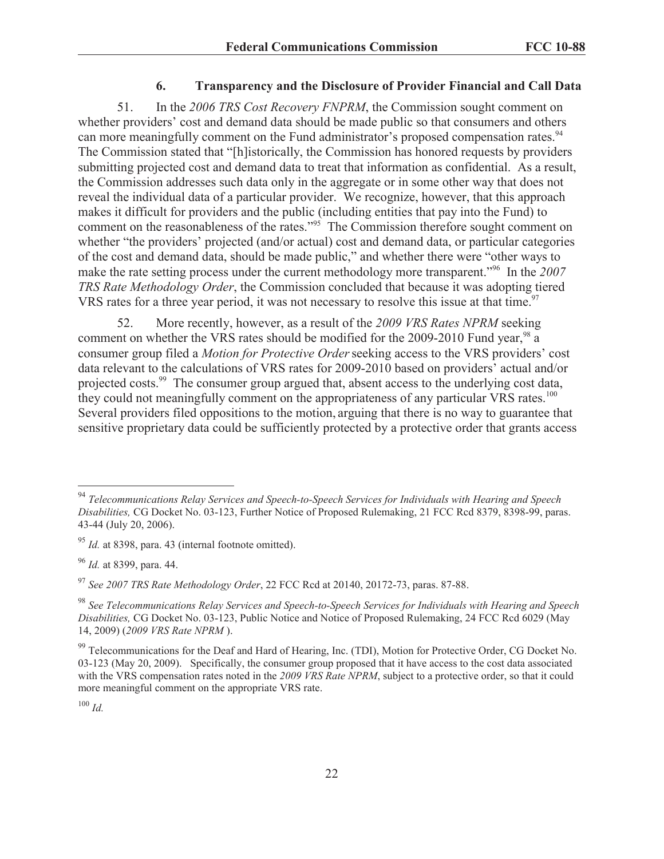## **6. Transparency and the Disclosure of Provider Financial and Call Data**

51. In the *2006 TRS Cost Recovery FNPRM*, the Commission sought comment on whether providers' cost and demand data should be made public so that consumers and others can more meaningfully comment on the Fund administrator's proposed compensation rates.<sup>94</sup> The Commission stated that "[h]istorically, the Commission has honored requests by providers submitting projected cost and demand data to treat that information as confidential. As a result, the Commission addresses such data only in the aggregate or in some other way that does not reveal the individual data of a particular provider. We recognize, however, that this approach makes it difficult for providers and the public (including entities that pay into the Fund) to comment on the reasonableness of the rates."<sup>95</sup> The Commission therefore sought comment on whether "the providers' projected (and/or actual) cost and demand data, or particular categories of the cost and demand data, should be made public," and whether there were "other ways to make the rate setting process under the current methodology more transparent."<sup>96</sup> In the *2007 TRS Rate Methodology Order*, the Commission concluded that because it was adopting tiered VRS rates for a three year period, it was not necessary to resolve this issue at that time.<sup>97</sup>

52. More recently, however, as a result of the *2009 VRS Rates NPRM* seeking comment on whether the VRS rates should be modified for the 2009-2010 Fund year,<sup>98</sup> a consumer group filed a *Motion for Protective Order*seeking access to the VRS providers' cost data relevant to the calculations of VRS rates for 2009-2010 based on providers' actual and/or projected costs.<sup>99</sup> The consumer group argued that, absent access to the underlying cost data, they could not meaningfully comment on the appropriateness of any particular VRS rates.<sup>100</sup> Several providers filed oppositions to the motion, arguing that there is no way to guarantee that sensitive proprietary data could be sufficiently protected by a protective order that grants access

<sup>97</sup> *See 2007 TRS Rate Methodology Order*, 22 FCC Rcd at 20140, 20172-73, paras. 87-88.

<sup>100</sup> *Id.*

<sup>94</sup> *Telecommunications Relay Services and Speech-to-Speech Services for Individuals with Hearing and Speech Disabilities,* CG Docket No. 03-123, Further Notice of Proposed Rulemaking, 21 FCC Rcd 8379, 8398-99, paras. 43-44 (July 20, 2006).

<sup>95</sup> *Id.* at 8398, para. 43 (internal footnote omitted).

<sup>96</sup> *Id.* at 8399, para. 44.

<sup>98</sup> *See Telecommunications Relay Services and Speech-to-Speech Services for Individuals with Hearing and Speech Disabilities,* CG Docket No. 03-123, Public Notice and Notice of Proposed Rulemaking, 24 FCC Rcd 6029 (May 14, 2009) (*2009 VRS Rate NPRM* ).

<sup>&</sup>lt;sup>99</sup> Telecommunications for the Deaf and Hard of Hearing, Inc. (TDI), Motion for Protective Order, CG Docket No. 03-123 (May 20, 2009). Specifically, the consumer group proposed that it have access to the cost data associated with the VRS compensation rates noted in the 2009 VRS Rate NPRM, subject to a protective order, so that it could more meaningful comment on the appropriate VRS rate.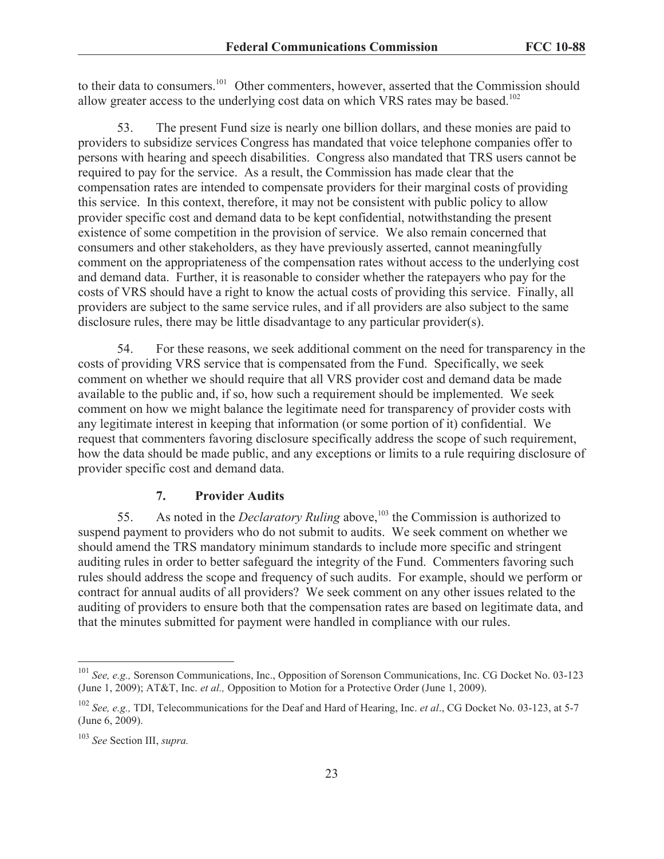to their data to consumers.<sup>101</sup> Other commenters, however, asserted that the Commission should allow greater access to the underlying cost data on which VRS rates may be based.<sup>102</sup>

53. The present Fund size is nearly one billion dollars, and these monies are paid to providers to subsidize services Congress has mandated that voice telephone companies offer to persons with hearing and speech disabilities. Congress also mandated that TRS users cannot be required to pay for the service. As a result, the Commission has made clear that the compensation rates are intended to compensate providers for their marginal costs of providing this service. In this context, therefore, it may not be consistent with public policy to allow provider specific cost and demand data to be kept confidential, notwithstanding the present existence of some competition in the provision of service. We also remain concerned that consumers and other stakeholders, as they have previously asserted, cannot meaningfully comment on the appropriateness of the compensation rates without access to the underlying cost and demand data. Further, it is reasonable to consider whether the ratepayers who pay for the costs of VRS should have a right to know the actual costs of providing this service. Finally, all providers are subject to the same service rules, and if all providers are also subject to the same disclosure rules, there may be little disadvantage to any particular provider(s).

54. For these reasons, we seek additional comment on the need for transparency in the costs of providing VRS service that is compensated from the Fund. Specifically, we seek comment on whether we should require that all VRS provider cost and demand data be made available to the public and, if so, how such a requirement should be implemented. We seek comment on how we might balance the legitimate need for transparency of provider costs with any legitimate interest in keeping that information (or some portion of it) confidential. We request that commenters favoring disclosure specifically address the scope of such requirement, how the data should be made public, and any exceptions or limits to a rule requiring disclosure of provider specific cost and demand data.

#### **7. Provider Audits**

55. As noted in the *Declaratory Ruling* above,<sup>103</sup> the Commission is authorized to suspend payment to providers who do not submit to audits. We seek comment on whether we should amend the TRS mandatory minimum standards to include more specific and stringent auditing rules in order to better safeguard the integrity of the Fund. Commenters favoring such rules should address the scope and frequency of such audits. For example, should we perform or contract for annual audits of all providers? We seek comment on any other issues related to the auditing of providers to ensure both that the compensation rates are based on legitimate data, and that the minutes submitted for payment were handled in compliance with our rules.

<sup>101</sup> *See, e.g.,* Sorenson Communications, Inc., Opposition of Sorenson Communications, Inc. CG Docket No. 03-123 (June 1, 2009); AT&T, Inc. *et al.,* Opposition to Motion for a Protective Order (June 1, 2009).

<sup>102</sup> *See, e.g.,* TDI, Telecommunications for the Deaf and Hard of Hearing, Inc. *et al*., CG Docket No. 03-123, at 5-7 (June 6, 2009).

<sup>103</sup> *See* Section III, *supra.*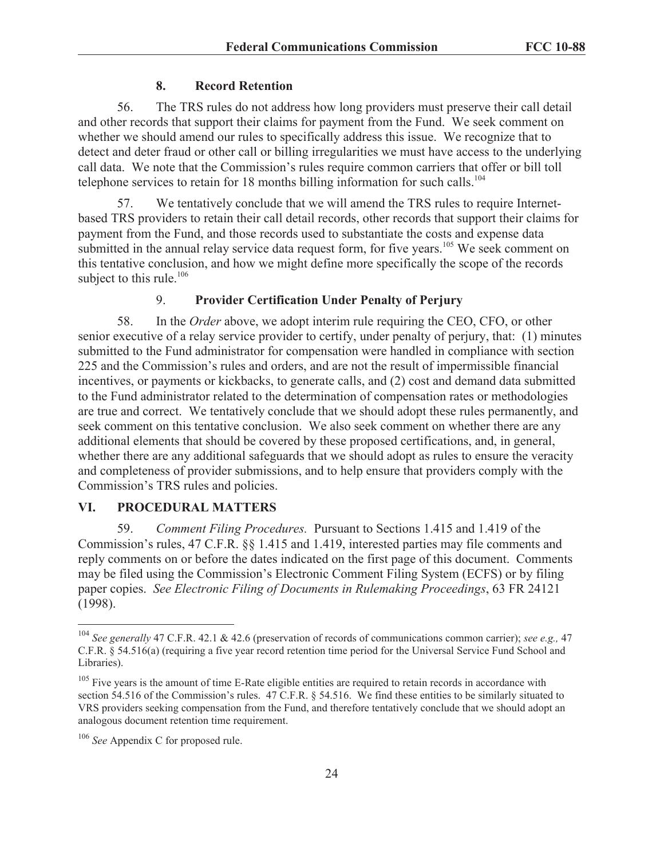#### **8. Record Retention**

56. The TRS rules do not address how long providers must preserve their call detail and other records that support their claims for payment from the Fund. We seek comment on whether we should amend our rules to specifically address this issue. We recognize that to detect and deter fraud or other call or billing irregularities we must have access to the underlying call data. We note that the Commission's rules require common carriers that offer or bill toll telephone services to retain for 18 months billing information for such calls.<sup>104</sup>

57. We tentatively conclude that we will amend the TRS rules to require Internetbased TRS providers to retain their call detail records, other records that support their claims for payment from the Fund, and those records used to substantiate the costs and expense data submitted in the annual relay service data request form, for five years.<sup>105</sup> We seek comment on this tentative conclusion, and how we might define more specifically the scope of the records subject to this rule. $106$ 

## 9. **Provider Certification Under Penalty of Perjury**

58. In the *Order* above, we adopt interim rule requiring the CEO, CFO, or other senior executive of a relay service provider to certify, under penalty of perjury, that: (1) minutes submitted to the Fund administrator for compensation were handled in compliance with section 225 and the Commission's rules and orders, and are not the result of impermissible financial incentives, or payments or kickbacks, to generate calls, and (2) cost and demand data submitted to the Fund administrator related to the determination of compensation rates or methodologies are true and correct. We tentatively conclude that we should adopt these rules permanently, and seek comment on this tentative conclusion. We also seek comment on whether there are any additional elements that should be covered by these proposed certifications, and, in general, whether there are any additional safeguards that we should adopt as rules to ensure the veracity and completeness of provider submissions, and to help ensure that providers comply with the Commission's TRS rules and policies.

## **VI. PROCEDURAL MATTERS**

59. *Comment Filing Procedures.* Pursuant to Sections 1.415 and 1.419 of the Commission's rules, 47 C.F.R. §§ 1.415 and 1.419, interested parties may file comments and reply comments on or before the dates indicated on the first page of this document. Comments may be filed using the Commission's Electronic Comment Filing System (ECFS) or by filing paper copies. *See Electronic Filing of Documents in Rulemaking Proceedings*, 63 FR 24121 (1998).

<sup>104</sup> *See generally* 47 C.F.R. 42.1 & 42.6 (preservation of records of communications common carrier); *see e.g.,* 47 C.F.R. § 54.516(a) (requiring a five year record retention time period for the Universal Service Fund School and Libraries).

<sup>&</sup>lt;sup>105</sup> Five years is the amount of time E-Rate eligible entities are required to retain records in accordance with section 54.516 of the Commission's rules. 47 C.F.R. § 54.516. We find these entities to be similarly situated to VRS providers seeking compensation from the Fund, and therefore tentatively conclude that we should adopt an analogous document retention time requirement.

<sup>106</sup> *See* Appendix C for proposed rule.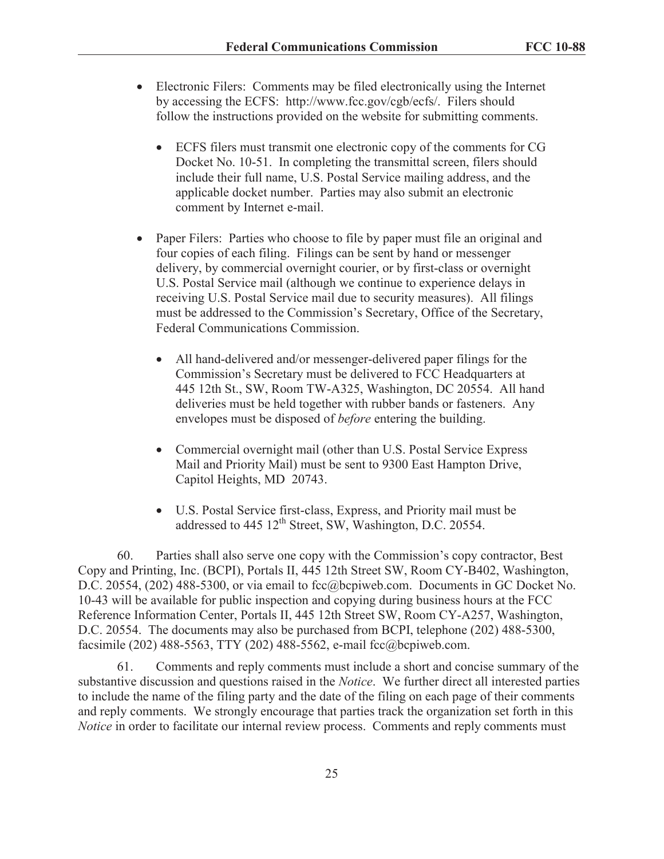- Electronic Filers: Comments may be filed electronically using the Internet by accessing the ECFS: http://www.fcc.gov/cgb/ecfs/. Filers should follow the instructions provided on the website for submitting comments.
	- · ECFS filers must transmit one electronic copy of the comments for CG Docket No. 10-51. In completing the transmittal screen, filers should include their full name, U.S. Postal Service mailing address, and the applicable docket number. Parties may also submit an electronic comment by Internet e-mail.
- Paper Filers: Parties who choose to file by paper must file an original and four copies of each filing. Filings can be sent by hand or messenger delivery, by commercial overnight courier, or by first-class or overnight U.S. Postal Service mail (although we continue to experience delays in receiving U.S. Postal Service mail due to security measures). All filings must be addressed to the Commission's Secretary, Office of the Secretary, Federal Communications Commission.
	- All hand-delivered and/or messenger-delivered paper filings for the Commission's Secretary must be delivered to FCC Headquarters at 445 12th St., SW, Room TW-A325, Washington, DC 20554. All hand deliveries must be held together with rubber bands or fasteners. Any envelopes must be disposed of *before* entering the building.
	- Commercial overnight mail (other than U.S. Postal Service Express Mail and Priority Mail) must be sent to 9300 East Hampton Drive, Capitol Heights, MD 20743.
	- · U.S. Postal Service first-class, Express, and Priority mail must be addressed to  $445 \frac{12^{th}}{3}$  Street, SW, Washington, D.C. 20554.

60. Parties shall also serve one copy with the Commission's copy contractor, Best Copy and Printing, Inc. (BCPI), Portals II, 445 12th Street SW, Room CY-B402, Washington, D.C. 20554, (202) 488-5300, or via email to fcc@bcpiweb.com. Documents in GC Docket No. 10-43 will be available for public inspection and copying during business hours at the FCC Reference Information Center, Portals II, 445 12th Street SW, Room CY-A257, Washington, D.C. 20554. The documents may also be purchased from BCPI, telephone (202) 488-5300, facsimile (202) 488-5563, TTY (202) 488-5562, e-mail fcc@bcpiweb.com.

61. Comments and reply comments must include a short and concise summary of the substantive discussion and questions raised in the *Notice*. We further direct all interested parties to include the name of the filing party and the date of the filing on each page of their comments and reply comments. We strongly encourage that parties track the organization set forth in this *Notice* in order to facilitate our internal review process. Comments and reply comments must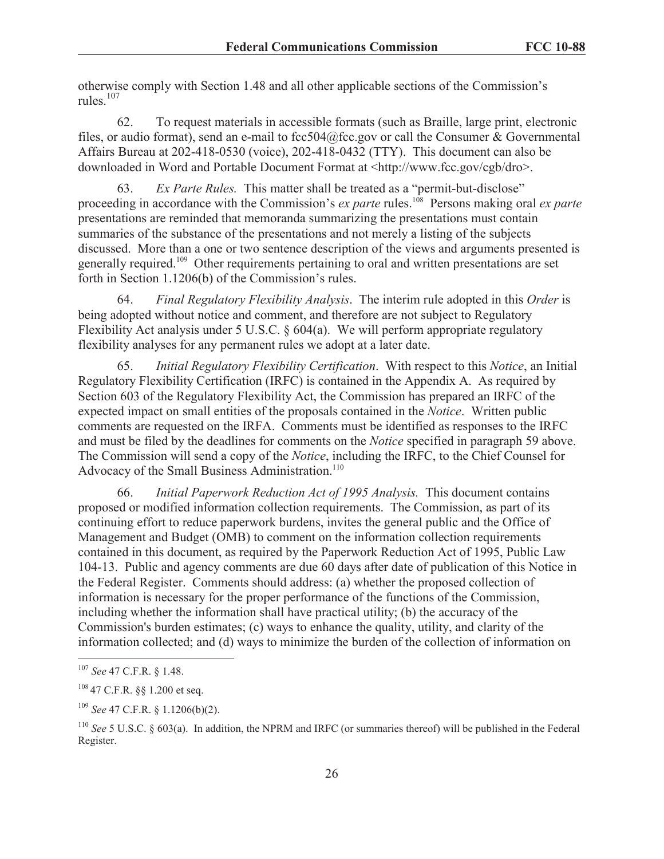otherwise comply with Section 1.48 and all other applicable sections of the Commission's rules $107$ 

62. To request materials in accessible formats (such as Braille, large print, electronic files, or audio format), send an e-mail to  $fcc504@$  fcc.gov or call the Consumer & Governmental Affairs Bureau at 202-418-0530 (voice), 202-418-0432 (TTY). This document can also be downloaded in Word and Portable Document Format at <http://www.fcc.gov/cgb/dro>.

63. *Ex Parte Rules.* This matter shall be treated as a "permit-but-disclose" proceeding in accordance with the Commission's *ex parte* rules.<sup>108</sup> Persons making oral *ex parte* presentations are reminded that memoranda summarizing the presentations must contain summaries of the substance of the presentations and not merely a listing of the subjects discussed. More than a one or two sentence description of the views and arguments presented is generally required.<sup>109</sup> Other requirements pertaining to oral and written presentations are set forth in Section 1.1206(b) of the Commission's rules.

64. *Final Regulatory Flexibility Analysis*. The interim rule adopted in this *Order* is being adopted without notice and comment, and therefore are not subject to Regulatory Flexibility Act analysis under 5 U.S.C. § 604(a). We will perform appropriate regulatory flexibility analyses for any permanent rules we adopt at a later date.

65. *Initial Regulatory Flexibility Certification*. With respect to this *Notice*, an Initial Regulatory Flexibility Certification (IRFC) is contained in the Appendix A. As required by Section 603 of the Regulatory Flexibility Act, the Commission has prepared an IRFC of the expected impact on small entities of the proposals contained in the *Notice*. Written public comments are requested on the IRFA. Comments must be identified as responses to the IRFC and must be filed by the deadlines for comments on the *Notice* specified in paragraph 59 above. The Commission will send a copy of the *Notice*, including the IRFC, to the Chief Counsel for Advocacy of the Small Business Administration.<sup>110</sup>

66. *Initial Paperwork Reduction Act of 1995 Analysis.* This document contains proposed or modified information collection requirements. The Commission, as part of its continuing effort to reduce paperwork burdens, invites the general public and the Office of Management and Budget (OMB) to comment on the information collection requirements contained in this document, as required by the Paperwork Reduction Act of 1995, Public Law 104-13. Public and agency comments are due 60 days after date of publication of this Notice in the Federal Register. Comments should address: (a) whether the proposed collection of information is necessary for the proper performance of the functions of the Commission, including whether the information shall have practical utility; (b) the accuracy of the Commission's burden estimates; (c) ways to enhance the quality, utility, and clarity of the information collected; and (d) ways to minimize the burden of the collection of information on

<sup>107</sup> *See* 47 C.F.R. § 1.48.

<sup>108</sup> 47 C.F.R. §§ 1.200 et seq.

<sup>109</sup> *See* 47 C.F.R. § 1.1206(b)(2).

<sup>110</sup> *See* 5 U.S.C. § 603(a). In addition, the NPRM and IRFC (or summaries thereof) will be published in the Federal Register.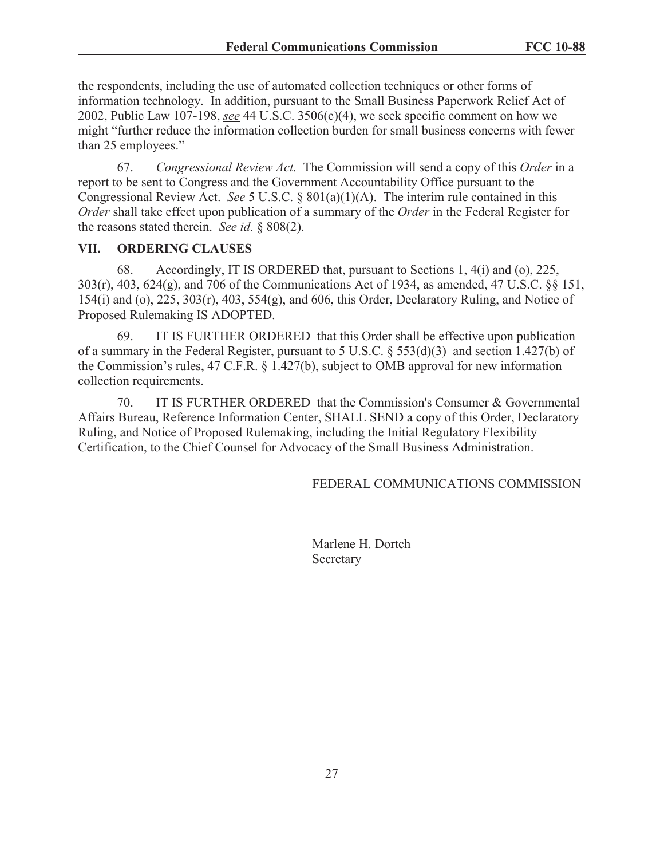the respondents, including the use of automated collection techniques or other forms of information technology. In addition, pursuant to the Small Business Paperwork Relief Act of 2002, Public Law 107-198, *see* 44 U.S.C. 3506(c)(4), we seek specific comment on how we might "further reduce the information collection burden for small business concerns with fewer than 25 employees."

67. *Congressional Review Act.* The Commission will send a copy of this *Order* in a report to be sent to Congress and the Government Accountability Office pursuant to the Congressional Review Act. *See* 5 U.S.C. § 801(a)(1)(A). The interim rule contained in this *Order* shall take effect upon publication of a summary of the *Order* in the Federal Register for the reasons stated therein. *See id.* § 808(2).

#### **VII. ORDERING CLAUSES**

68. Accordingly, IT IS ORDERED that, pursuant to Sections 1, 4(i) and (o), 225, 303(r), 403, 624(g), and 706 of the Communications Act of 1934, as amended, 47 U.S.C. §§ 151, 154(i) and (o), 225, 303(r), 403, 554(g), and 606, this Order, Declaratory Ruling, and Notice of Proposed Rulemaking IS ADOPTED.

69. IT IS FURTHER ORDERED that this Order shall be effective upon publication of a summary in the Federal Register, pursuant to 5 U.S.C.  $\S$  553(d)(3) and section 1.427(b) of the Commission's rules, 47 C.F.R. § 1.427(b), subject to OMB approval for new information collection requirements.

70. IT IS FURTHER ORDERED that the Commission's Consumer & Governmental Affairs Bureau, Reference Information Center, SHALL SEND a copy of this Order, Declaratory Ruling, and Notice of Proposed Rulemaking, including the Initial Regulatory Flexibility Certification, to the Chief Counsel for Advocacy of the Small Business Administration.

FEDERAL COMMUNICATIONS COMMISSION

Marlene H. Dortch Secretary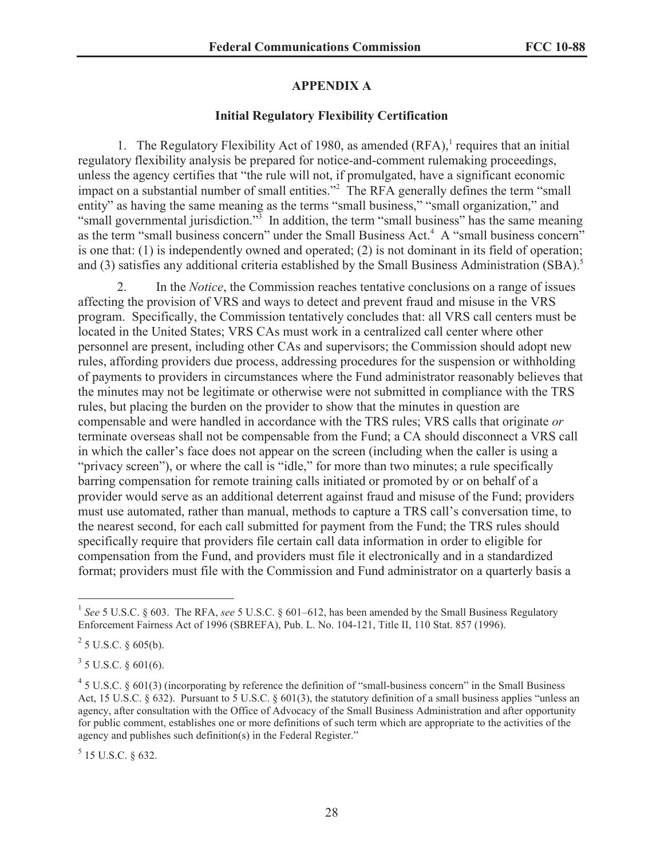# **APPENDIX A**

## **Initial Regulatory Flexibility Certification**

1. The Regulatory Flexibility Act of 1980, as amended  $(RFA)$ , requires that an initial regulatory flexibility analysis be prepared for notice-and-comment rulemaking proceedings, unless the agency certifies that "the rule will not, if promulgated, have a significant economic impact on a substantial number of small entities."<sup>2</sup> The RFA generally defines the term "small" entity" as having the same meaning as the terms "small business," "small organization," and "small governmental jurisdiction."<sup>3</sup> In addition, the term "small business" has the same meaning as the term "small business concern" under the Small Business Act.<sup>4</sup> A "small business concern" is one that: (1) is independently owned and operated; (2) is not dominant in its field of operation; and (3) satisfies any additional criteria established by the Small Business Administration (SBA).<sup>5</sup>

2. In the *Notice*, the Commission reaches tentative conclusions on a range of issues affecting the provision of VRS and ways to detect and prevent fraud and misuse in the VRS program. Specifically, the Commission tentatively concludes that: all VRS call centers must be located in the United States; VRS CAs must work in a centralized call center where other personnel are present, including other CAs and supervisors; the Commission should adopt new rules, affording providers due process, addressing procedures for the suspension or withholding of payments to providers in circumstances where the Fund administrator reasonably believes that the minutes may not be legitimate or otherwise were not submitted in compliance with the TRS rules, but placing the burden on the provider to show that the minutes in question are compensable and were handled in accordance with the TRS rules; VRS calls that originate *or*  terminate overseas shall not be compensable from the Fund; a CA should disconnect a VRS call in which the caller's face does not appear on the screen (including when the caller is using a "privacy screen"), or where the call is "idle," for more than two minutes; a rule specifically barring compensation for remote training calls initiated or promoted by or on behalf of a provider would serve as an additional deterrent against fraud and misuse of the Fund; providers must use automated, rather than manual, methods to capture a TRS call's conversation time, to the nearest second, for each call submitted for payment from the Fund; the TRS rules should specifically require that providers file certain call data information in order to eligible for compensation from the Fund, and providers must file it electronically and in a standardized format; providers must file with the Commission and Fund administrator on a quarterly basis a

 $3$  5 U.S.C. § 601(6).

 $<sup>5</sup>$  15 U.S.C. § 632.</sup>

<sup>&</sup>lt;sup>1</sup> See 5 U.S.C. § 603. The RFA, see 5 U.S.C. § 601–612, has been amended by the Small Business Regulatory Enforcement Fairness Act of 1996 (SBREFA), Pub. L. No. 104-121, Title II, 110 Stat. 857 (1996).

 $^{2}$  5 U.S.C. § 605(b).

 $45$  U.S.C. § 601(3) (incorporating by reference the definition of "small-business concern" in the Small Business Act, 15 U.S.C. § 632). Pursuant to 5 U.S.C. § 601(3), the statutory definition of a small business applies "unless an agency, after consultation with the Office of Advocacy of the Small Business Administration and after opportunity for public comment, establishes one or more definitions of such term which are appropriate to the activities of the agency and publishes such definition(s) in the Federal Register."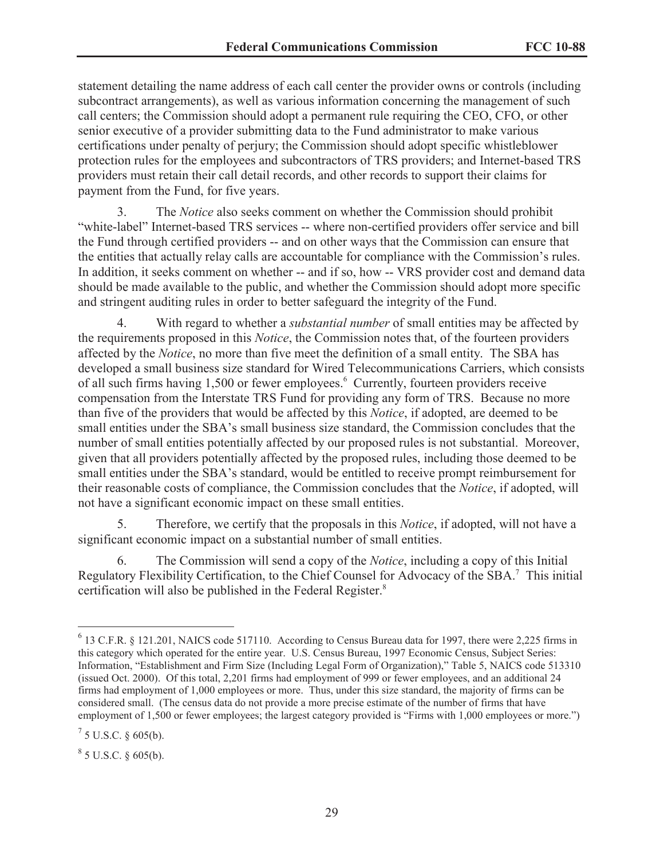statement detailing the name address of each call center the provider owns or controls (including subcontract arrangements), as well as various information concerning the management of such call centers; the Commission should adopt a permanent rule requiring the CEO, CFO, or other senior executive of a provider submitting data to the Fund administrator to make various certifications under penalty of perjury; the Commission should adopt specific whistleblower protection rules for the employees and subcontractors of TRS providers; and Internet-based TRS providers must retain their call detail records, and other records to support their claims for payment from the Fund, for five years.

3. The *Notice* also seeks comment on whether the Commission should prohibit "white-label" Internet-based TRS services -- where non-certified providers offer service and bill the Fund through certified providers -- and on other ways that the Commission can ensure that the entities that actually relay calls are accountable for compliance with the Commission's rules. In addition, it seeks comment on whether -- and if so, how -- VRS provider cost and demand data should be made available to the public, and whether the Commission should adopt more specific and stringent auditing rules in order to better safeguard the integrity of the Fund.

4. With regard to whether a *substantial number* of small entities may be affected by the requirements proposed in this *Notice*, the Commission notes that, of the fourteen providers affected by the *Notice*, no more than five meet the definition of a small entity. The SBA has developed a small business size standard for Wired Telecommunications Carriers, which consists of all such firms having 1,500 or fewer employees.<sup>6</sup> Currently, fourteen providers receive compensation from the Interstate TRS Fund for providing any form of TRS. Because no more than five of the providers that would be affected by this *Notice*, if adopted, are deemed to be small entities under the SBA's small business size standard, the Commission concludes that the number of small entities potentially affected by our proposed rules is not substantial. Moreover, given that all providers potentially affected by the proposed rules, including those deemed to be small entities under the SBA's standard, would be entitled to receive prompt reimbursement for their reasonable costs of compliance, the Commission concludes that the *Notice*, if adopted, will not have a significant economic impact on these small entities.

5. Therefore, we certify that the proposals in this *Notice*, if adopted, will not have a significant economic impact on a substantial number of small entities.

6. The Commission will send a copy of the *Notice*, including a copy of this Initial Regulatory Flexibility Certification, to the Chief Counsel for Advocacy of the SBA.<sup>7</sup> This initial certification will also be published in the Federal Register.<sup>8</sup>

 $8^8$  5 U.S.C. § 605(b).

<sup>&</sup>lt;sup>6</sup> 13 C.F.R. § 121.201, NAICS code 517110. According to Census Bureau data for 1997, there were 2,225 firms in this category which operated for the entire year. U.S. Census Bureau, 1997 Economic Census, Subject Series: Information, "Establishment and Firm Size (Including Legal Form of Organization)," Table 5, NAICS code 513310 (issued Oct. 2000). Of this total, 2,201 firms had employment of 999 or fewer employees, and an additional 24 firms had employment of 1,000 employees or more. Thus, under this size standard, the majority of firms can be considered small. (The census data do not provide a more precise estimate of the number of firms that have employment of 1,500 or fewer employees; the largest category provided is "Firms with 1,000 employees or more.")

 $^7$  5 U.S.C. § 605(b).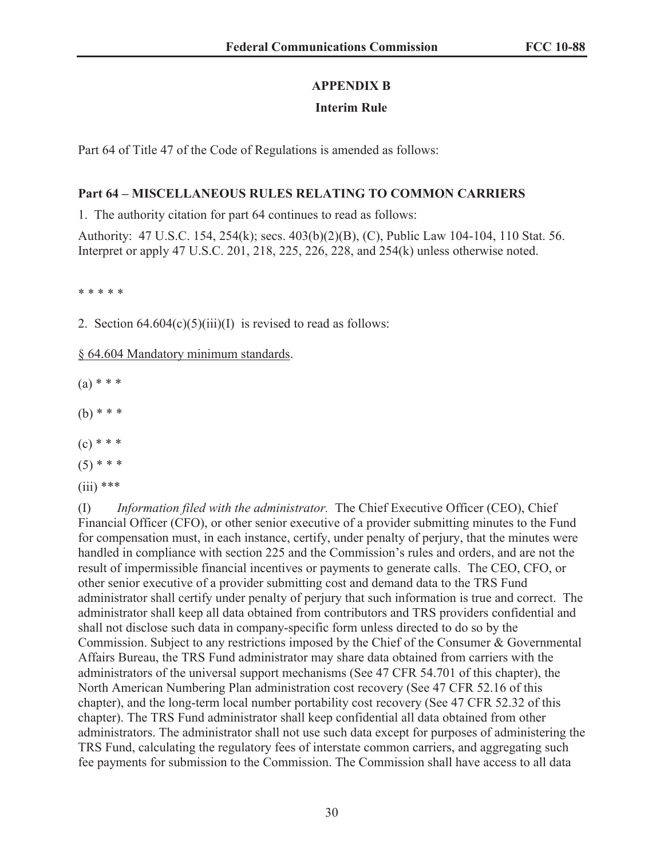# **APPENDIX B**

# **Interim Rule**

Part 64 of Title 47 of the Code of Regulations is amended as follows:

# **Part 64 – MISCELLANEOUS RULES RELATING TO COMMON CARRIERS**

1. The authority citation for part 64 continues to read as follows:

Authority: 47 U.S.C. 154, 254(k); secs. 403(b)(2)(B), (C), Public Law 104-104, 110 Stat. 56. Interpret or apply 47 U.S.C. 201, 218, 225, 226, 228, and 254(k) unless otherwise noted.

\* \* \* \* \*

2. Section  $64.604(c)(5)(iii)(I)$  is revised to read as follows:

§ 64.604 Mandatory minimum standards.

 $(a) * * *$ 

(b) \* \* \*

- $(c)$  \* \* \*
- $(5)$  \* \* \*
- $(iii)$  \*\*\*

(I) *Information filed with the administrator.* The Chief Executive Officer (CEO), Chief Financial Officer (CFO), or other senior executive of a provider submitting minutes to the Fund for compensation must, in each instance, certify, under penalty of perjury, that the minutes were handled in compliance with section 225 and the Commission's rules and orders, and are not the result of impermissible financial incentives or payments to generate calls. The CEO, CFO, or other senior executive of a provider submitting cost and demand data to the TRS Fund administrator shall certify under penalty of perjury that such information is true and correct. The administrator shall keep all data obtained from contributors and TRS providers confidential and shall not disclose such data in company-specific form unless directed to do so by the Commission. Subject to any restrictions imposed by the Chief of the Consumer & Governmental Affairs Bureau, the TRS Fund administrator may share data obtained from carriers with the administrators of the universal support mechanisms (See 47 CFR 54.701 of this chapter), the North American Numbering Plan administration cost recovery (See 47 CFR 52.16 of this chapter), and the long-term local number portability cost recovery (See 47 CFR 52.32 of this chapter). The TRS Fund administrator shall keep confidential all data obtained from other administrators. The administrator shall not use such data except for purposes of administering the TRS Fund, calculating the regulatory fees of interstate common carriers, and aggregating such fee payments for submission to the Commission. The Commission shall have access to all data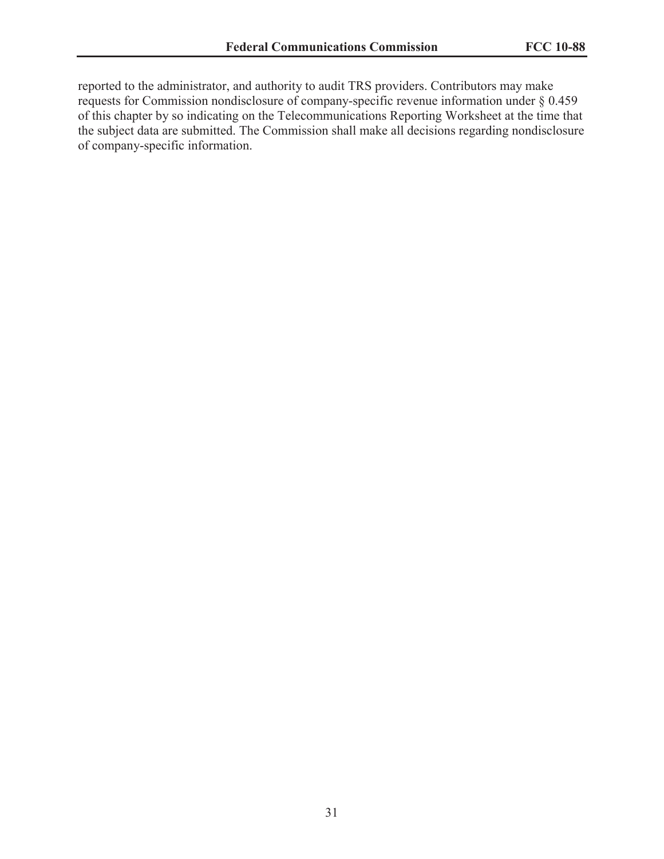reported to the administrator, and authority to audit TRS providers. Contributors may make requests for Commission nondisclosure of company-specific revenue information under § 0.459 of this chapter by so indicating on the Telecommunications Reporting Worksheet at the time that the subject data are submitted. The Commission shall make all decisions regarding nondisclosure of company-specific information.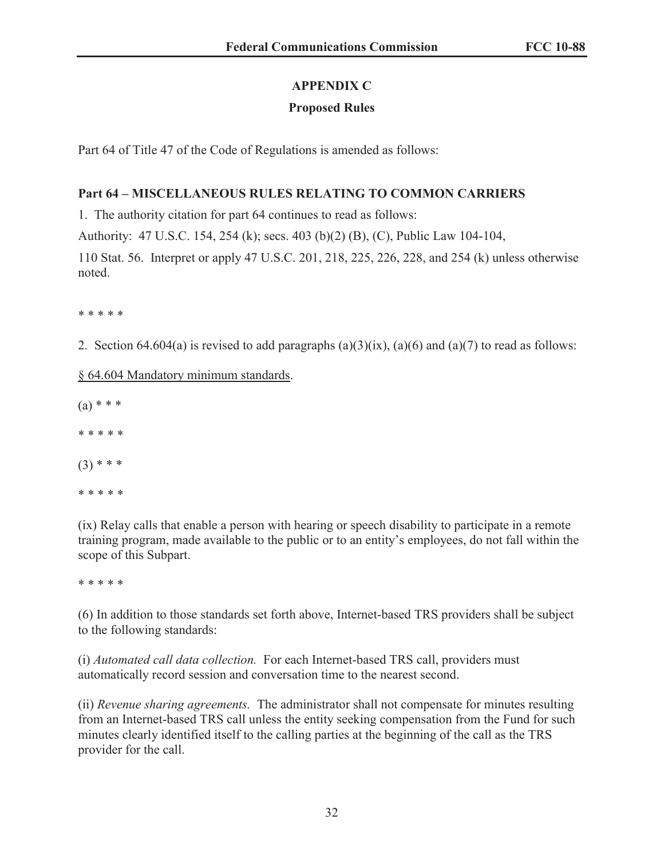# **APPENDIX C**

# **Proposed Rules**

Part 64 of Title 47 of the Code of Regulations is amended as follows:

# **Part 64 – MISCELLANEOUS RULES RELATING TO COMMON CARRIERS**

1. The authority citation for part 64 continues to read as follows:

Authority: 47 U.S.C. 154, 254 (k); secs. 403 (b)(2) (B), (C), Public Law 104-104,

110 Stat. 56. Interpret or apply 47 U.S.C. 201, 218, 225, 226, 228, and 254 (k) unless otherwise noted.

\* \* \* \* \*

2. Section 64.604(a) is revised to add paragraphs  $(a)(3)(ix)$ ,  $(a)(6)$  and  $(a)(7)$  to read as follows:

§ 64.604 Mandatory minimum standards.

 $(a) * * *$ \* \* \* \* \*  $(3)$  \* \* \* \* \* \* \* \*

(ix) Relay calls that enable a person with hearing or speech disability to participate in a remote training program, made available to the public or to an entity's employees, do not fall within the scope of this Subpart.

\* \* \* \* \*

(6) In addition to those standards set forth above, Internet-based TRS providers shall be subject to the following standards:

(i) *Automated call data collection.* For each Internet-based TRS call, providers must automatically record session and conversation time to the nearest second.

(ii) *Revenue sharing agreements.* The administrator shall not compensate for minutes resulting from an Internet-based TRS call unless the entity seeking compensation from the Fund for such minutes clearly identified itself to the calling parties at the beginning of the call as the TRS provider for the call.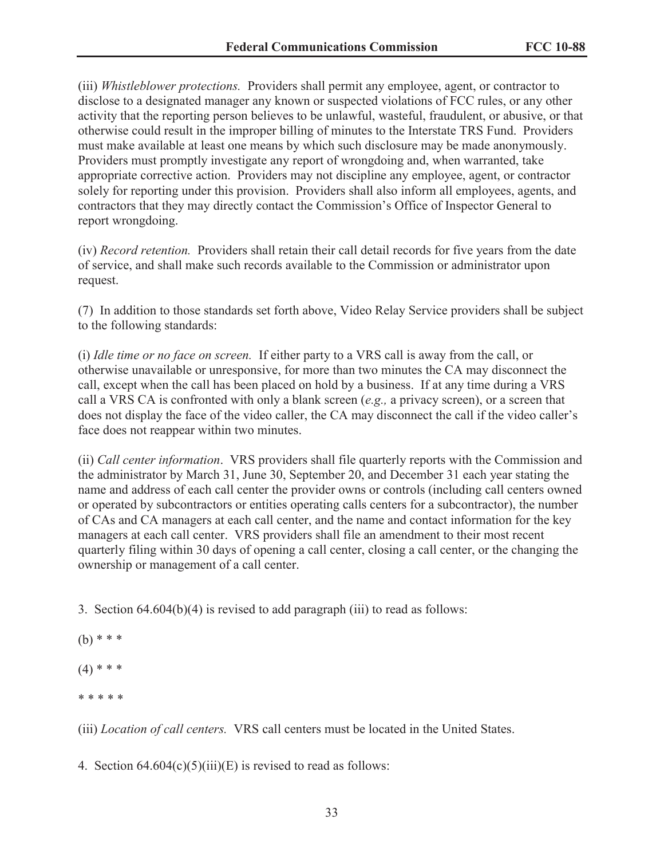(iii) *Whistleblower protections.* Providers shall permit any employee, agent, or contractor to disclose to a designated manager any known or suspected violations of FCC rules, or any other activity that the reporting person believes to be unlawful, wasteful, fraudulent, or abusive, or that otherwise could result in the improper billing of minutes to the Interstate TRS Fund. Providers must make available at least one means by which such disclosure may be made anonymously. Providers must promptly investigate any report of wrongdoing and, when warranted, take appropriate corrective action. Providers may not discipline any employee, agent, or contractor solely for reporting under this provision. Providers shall also inform all employees, agents, and contractors that they may directly contact the Commission's Office of Inspector General to report wrongdoing.

(iv) *Record retention.* Providers shall retain their call detail records for five years from the date of service, and shall make such records available to the Commission or administrator upon request.

(7) In addition to those standards set forth above, Video Relay Service providers shall be subject to the following standards:

(i) *Idle time or no face on screen.* If either party to a VRS call is away from the call, or otherwise unavailable or unresponsive, for more than two minutes the CA may disconnect the call, except when the call has been placed on hold by a business. If at any time during a VRS call a VRS CA is confronted with only a blank screen (*e.g.,* a privacy screen), or a screen that does not display the face of the video caller, the CA may disconnect the call if the video caller's face does not reappear within two minutes.

(ii) *Call center information*. VRS providers shall file quarterly reports with the Commission and the administrator by March 31, June 30, September 20, and December 31 each year stating the name and address of each call center the provider owns or controls (including call centers owned or operated by subcontractors or entities operating calls centers for a subcontractor), the number of CAs and CA managers at each call center, and the name and contact information for the key managers at each call center. VRS providers shall file an amendment to their most recent quarterly filing within 30 days of opening a call center, closing a call center, or the changing the ownership or management of a call center.

3. Section 64.604(b)(4) is revised to add paragraph (iii) to read as follows:

- $(b)$  \* \* \*
- $(4)$  \* \* \*
- \* \* \* \* \*

(iii) *Location of call centers.* VRS call centers must be located in the United States.

4. Section  $64.604(c)(5)(iii)(E)$  is revised to read as follows: